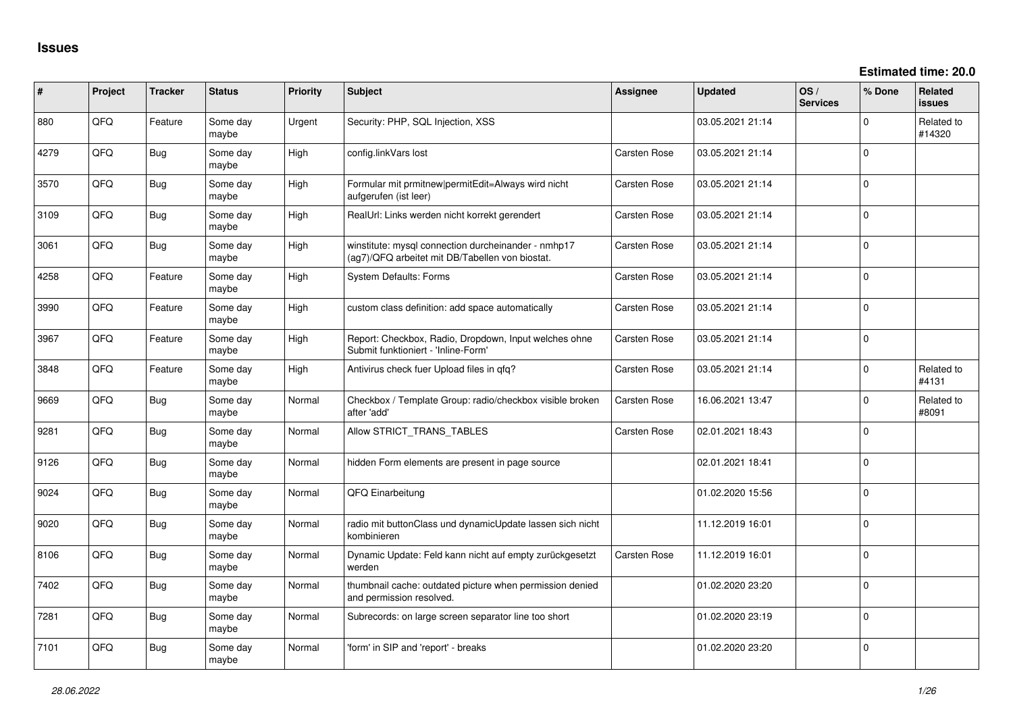| #    | Project | <b>Tracker</b> | <b>Status</b>     | <b>Priority</b> | <b>Subject</b>                                                                                         | Assignee     | <b>Updated</b>   | OS/<br><b>Services</b> | % Done      | <b>Related</b><br><b>issues</b> |
|------|---------|----------------|-------------------|-----------------|--------------------------------------------------------------------------------------------------------|--------------|------------------|------------------------|-------------|---------------------------------|
| 880  | QFQ     | Feature        | Some day<br>maybe | Urgent          | Security: PHP, SQL Injection, XSS                                                                      |              | 03.05.2021 21:14 |                        | $\Omega$    | Related to<br>#14320            |
| 4279 | QFQ     | <b>Bug</b>     | Some day<br>maybe | High            | config.linkVars lost                                                                                   | Carsten Rose | 03.05.2021 21:14 |                        | $\Omega$    |                                 |
| 3570 | QFQ     | <b>Bug</b>     | Some day<br>maybe | High            | Formular mit prmitnew permitEdit=Always wird nicht<br>aufgerufen (ist leer)                            | Carsten Rose | 03.05.2021 21:14 |                        | $\mathbf 0$ |                                 |
| 3109 | QFQ     | <b>Bug</b>     | Some day<br>maybe | High            | RealUrl: Links werden nicht korrekt gerendert                                                          | Carsten Rose | 03.05.2021 21:14 |                        | $\Omega$    |                                 |
| 3061 | QFQ     | Bug            | Some day<br>maybe | High            | winstitute: mysql connection durcheinander - nmhp17<br>(aq7)/QFQ arbeitet mit DB/Tabellen von biostat. | Carsten Rose | 03.05.2021 21:14 |                        | $\Omega$    |                                 |
| 4258 | QFQ     | Feature        | Some day<br>maybe | High            | <b>System Defaults: Forms</b>                                                                          | Carsten Rose | 03.05.2021 21:14 |                        | $\Omega$    |                                 |
| 3990 | QFQ     | Feature        | Some day<br>maybe | High            | custom class definition: add space automatically                                                       | Carsten Rose | 03.05.2021 21:14 |                        | $\Omega$    |                                 |
| 3967 | QFQ     | Feature        | Some day<br>maybe | High            | Report: Checkbox, Radio, Dropdown, Input welches ohne<br>Submit funktioniert - 'Inline-Form'           | Carsten Rose | 03.05.2021 21:14 |                        | $\Omega$    |                                 |
| 3848 | QFQ     | Feature        | Some day<br>maybe | High            | Antivirus check fuer Upload files in gfg?                                                              | Carsten Rose | 03.05.2021 21:14 |                        | $\Omega$    | Related to<br>#4131             |
| 9669 | QFQ     | <b>Bug</b>     | Some day<br>maybe | Normal          | Checkbox / Template Group: radio/checkbox visible broken<br>after 'add'                                | Carsten Rose | 16.06.2021 13:47 |                        | $\mathbf 0$ | Related to<br>#8091             |
| 9281 | QFQ     | <b>Bug</b>     | Some day<br>maybe | Normal          | Allow STRICT_TRANS_TABLES                                                                              | Carsten Rose | 02.01.2021 18:43 |                        | $\mathbf 0$ |                                 |
| 9126 | QFQ     | <b>Bug</b>     | Some day<br>maybe | Normal          | hidden Form elements are present in page source                                                        |              | 02.01.2021 18:41 |                        | $\mathbf 0$ |                                 |
| 9024 | QFQ     | Bug            | Some day<br>maybe | Normal          | <b>QFQ Einarbeitung</b>                                                                                |              | 01.02.2020 15:56 |                        | $\Omega$    |                                 |
| 9020 | QFQ     | <b>Bug</b>     | Some day<br>maybe | Normal          | radio mit buttonClass und dynamicUpdate lassen sich nicht<br>kombinieren                               |              | 11.12.2019 16:01 |                        | $\mathbf 0$ |                                 |
| 8106 | QFQ     | <b>Bug</b>     | Some day<br>maybe | Normal          | Dynamic Update: Feld kann nicht auf empty zurückgesetzt<br>werden                                      | Carsten Rose | 11.12.2019 16:01 |                        | 0           |                                 |
| 7402 | QFQ     | <b>Bug</b>     | Some day<br>maybe | Normal          | thumbnail cache: outdated picture when permission denied<br>and permission resolved.                   |              | 01.02.2020 23:20 |                        | $\mathbf 0$ |                                 |
| 7281 | QFQ     | <b>Bug</b>     | Some day<br>maybe | Normal          | Subrecords: on large screen separator line too short                                                   |              | 01.02.2020 23:19 |                        | $\Omega$    |                                 |
| 7101 | QFQ     | <b>Bug</b>     | Some day<br>maybe | Normal          | 'form' in SIP and 'report' - breaks                                                                    |              | 01.02.2020 23:20 |                        | $\mathbf 0$ |                                 |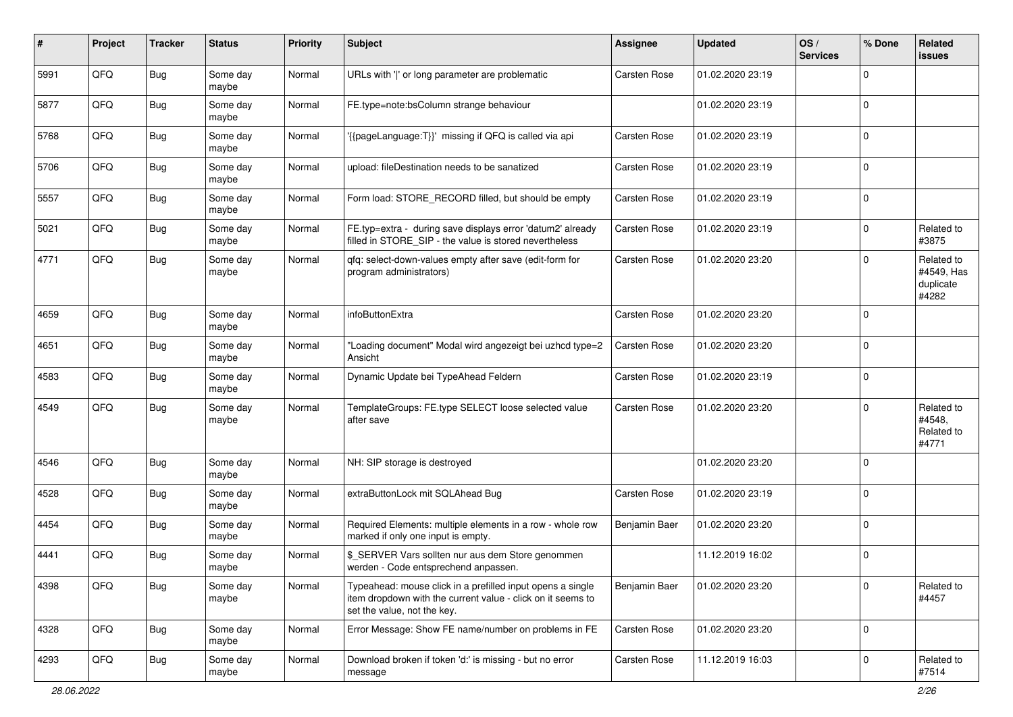| #    | Project | <b>Tracker</b> | <b>Status</b>     | <b>Priority</b> | <b>Subject</b>                                                                                                                                           | Assignee            | <b>Updated</b>   | OS/<br><b>Services</b> | % Done      | Related<br>issues                              |
|------|---------|----------------|-------------------|-----------------|----------------------------------------------------------------------------------------------------------------------------------------------------------|---------------------|------------------|------------------------|-------------|------------------------------------------------|
| 5991 | QFQ     | Bug            | Some day<br>maybe | Normal          | URLs with ' ' or long parameter are problematic                                                                                                          | <b>Carsten Rose</b> | 01.02.2020 23:19 |                        | 0           |                                                |
| 5877 | QFQ     | <b>Bug</b>     | Some day<br>maybe | Normal          | FE.type=note:bsColumn strange behaviour                                                                                                                  |                     | 01.02.2020 23:19 |                        | $\mathbf 0$ |                                                |
| 5768 | QFQ     | <b>Bug</b>     | Some day<br>maybe | Normal          | '{{pageLanguage:T}}' missing if QFQ is called via api                                                                                                    | Carsten Rose        | 01.02.2020 23:19 |                        | 0           |                                                |
| 5706 | QFQ     | Bug            | Some day<br>maybe | Normal          | upload: fileDestination needs to be sanatized                                                                                                            | Carsten Rose        | 01.02.2020 23:19 |                        | $\Omega$    |                                                |
| 5557 | QFQ     | Bug            | Some day<br>maybe | Normal          | Form load: STORE_RECORD filled, but should be empty                                                                                                      | Carsten Rose        | 01.02.2020 23:19 |                        | $\Omega$    |                                                |
| 5021 | QFQ     | Bug            | Some day<br>maybe | Normal          | FE.typ=extra - during save displays error 'datum2' already<br>filled in STORE_SIP - the value is stored nevertheless                                     | Carsten Rose        | 01.02.2020 23:19 |                        | $\Omega$    | Related to<br>#3875                            |
| 4771 | QFQ     | Bug            | Some day<br>maybe | Normal          | qfq: select-down-values empty after save (edit-form for<br>program administrators)                                                                       | <b>Carsten Rose</b> | 01.02.2020 23:20 |                        | $\Omega$    | Related to<br>#4549, Has<br>duplicate<br>#4282 |
| 4659 | QFQ     | Bug            | Some day<br>maybe | Normal          | infoButtonExtra                                                                                                                                          | <b>Carsten Rose</b> | 01.02.2020 23:20 |                        | $\Omega$    |                                                |
| 4651 | QFQ     | <b>Bug</b>     | Some day<br>maybe | Normal          | "Loading document" Modal wird angezeigt bei uzhcd type=2<br>Ansicht                                                                                      | <b>Carsten Rose</b> | 01.02.2020 23:20 |                        | $\Omega$    |                                                |
| 4583 | QFQ     | Bug            | Some day<br>maybe | Normal          | Dynamic Update bei TypeAhead Feldern                                                                                                                     | Carsten Rose        | 01.02.2020 23:19 |                        | 0           |                                                |
| 4549 | QFQ     | Bug            | Some day<br>maybe | Normal          | TemplateGroups: FE.type SELECT loose selected value<br>after save                                                                                        | <b>Carsten Rose</b> | 01.02.2020 23:20 |                        | $\Omega$    | Related to<br>#4548,<br>Related to<br>#4771    |
| 4546 | QFQ     | Bug            | Some day<br>maybe | Normal          | NH: SIP storage is destroyed                                                                                                                             |                     | 01.02.2020 23:20 |                        | $\Omega$    |                                                |
| 4528 | QFQ     | <b>Bug</b>     | Some day<br>maybe | Normal          | extraButtonLock mit SQLAhead Bug                                                                                                                         | <b>Carsten Rose</b> | 01.02.2020 23:19 |                        | 0           |                                                |
| 4454 | QFQ     | Bug            | Some day<br>maybe | Normal          | Required Elements: multiple elements in a row - whole row<br>marked if only one input is empty.                                                          | Benjamin Baer       | 01.02.2020 23:20 |                        | $\mathbf 0$ |                                                |
| 4441 | QFQ     | Bug            | Some day<br>maybe | Normal          | \$_SERVER Vars sollten nur aus dem Store genommen<br>werden - Code entsprechend anpassen.                                                                |                     | 11.12.2019 16:02 |                        | $\Omega$    |                                                |
| 4398 | QFQ     | <b>Bug</b>     | Some day<br>maybe | Normal          | Typeahead: mouse click in a prefilled input opens a single<br>item dropdown with the current value - click on it seems to<br>set the value, not the key. | Benjamin Baer       | 01.02.2020 23:20 |                        | $\mathbf 0$ | Related to<br>#4457                            |
| 4328 | QFQ     | <b>Bug</b>     | Some day<br>maybe | Normal          | Error Message: Show FE name/number on problems in FE                                                                                                     | Carsten Rose        | 01.02.2020 23:20 |                        | $\mathbf 0$ |                                                |
| 4293 | QFQ     | <b>Bug</b>     | Some day<br>maybe | Normal          | Download broken if token 'd:' is missing - but no error<br>message                                                                                       | Carsten Rose        | 11.12.2019 16:03 |                        | 0           | Related to<br>#7514                            |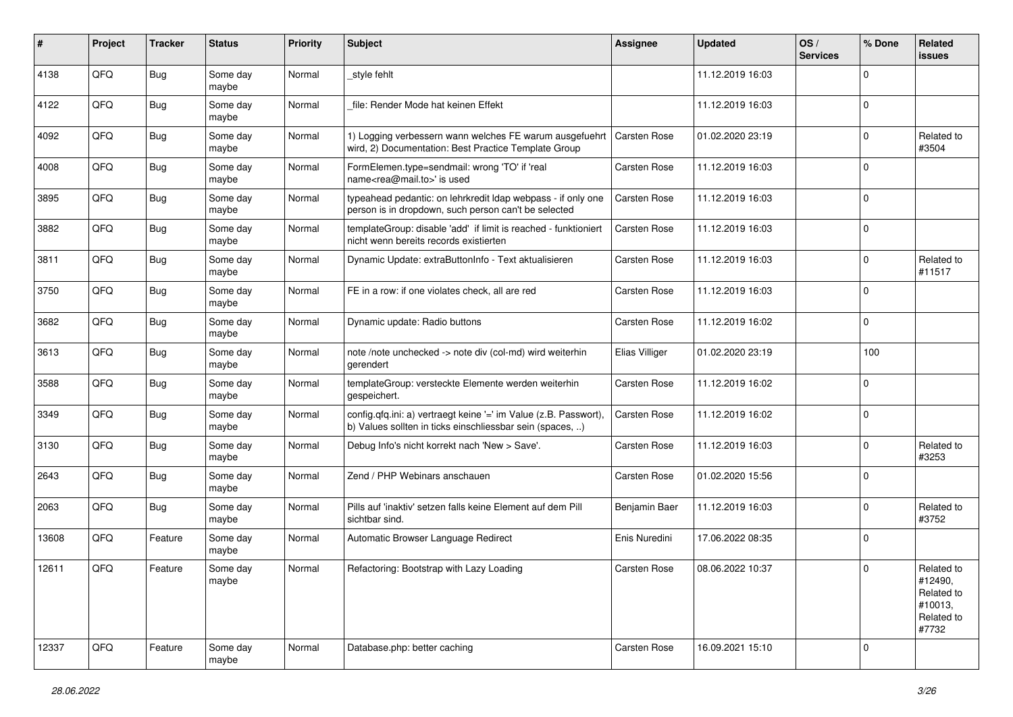| #     | Project | <b>Tracker</b> | <b>Status</b>     | <b>Priority</b> | <b>Subject</b>                                                                                                                | <b>Assignee</b>     | <b>Updated</b>   | OS/<br><b>Services</b> | % Done      | Related<br><b>issues</b>                                              |
|-------|---------|----------------|-------------------|-----------------|-------------------------------------------------------------------------------------------------------------------------------|---------------------|------------------|------------------------|-------------|-----------------------------------------------------------------------|
| 4138  | QFQ     | <b>Bug</b>     | Some day<br>maybe | Normal          | _style fehlt                                                                                                                  |                     | 11.12.2019 16:03 |                        | $\Omega$    |                                                                       |
| 4122  | QFQ     | Bug            | Some day<br>maybe | Normal          | file: Render Mode hat keinen Effekt                                                                                           |                     | 11.12.2019 16:03 |                        | $\mathbf 0$ |                                                                       |
| 4092  | QFQ     | <b>Bug</b>     | Some day<br>maybe | Normal          | 1) Logging verbessern wann welches FE warum ausgefuehrt<br>wird, 2) Documentation: Best Practice Template Group               | <b>Carsten Rose</b> | 01.02.2020 23:19 |                        | $\Omega$    | Related to<br>#3504                                                   |
| 4008  | QFQ     | <b>Bug</b>     | Some day<br>maybe | Normal          | FormElemen.type=sendmail: wrong 'TO' if 'real<br>name <rea@mail.to>' is used</rea@mail.to>                                    | <b>Carsten Rose</b> | 11.12.2019 16:03 |                        | 0           |                                                                       |
| 3895  | QFQ     | <b>Bug</b>     | Some day<br>maybe | Normal          | typeahead pedantic: on lehrkredit Idap webpass - if only one<br>person is in dropdown, such person can't be selected          | Carsten Rose        | 11.12.2019 16:03 |                        | $\mathbf 0$ |                                                                       |
| 3882  | QFQ     | Bug            | Some day<br>maybe | Normal          | templateGroup: disable 'add' if limit is reached - funktioniert<br>nicht wenn bereits records existierten                     | <b>Carsten Rose</b> | 11.12.2019 16:03 |                        | $\Omega$    |                                                                       |
| 3811  | QFQ     | <b>Bug</b>     | Some day<br>maybe | Normal          | Dynamic Update: extraButtonInfo - Text aktualisieren                                                                          | <b>Carsten Rose</b> | 11.12.2019 16:03 |                        | $\Omega$    | Related to<br>#11517                                                  |
| 3750  | QFQ     | <b>Bug</b>     | Some day<br>maybe | Normal          | FE in a row: if one violates check, all are red                                                                               | <b>Carsten Rose</b> | 11.12.2019 16:03 |                        | $\mathbf 0$ |                                                                       |
| 3682  | QFQ     | Bug            | Some day<br>maybe | Normal          | Dynamic update: Radio buttons                                                                                                 | <b>Carsten Rose</b> | 11.12.2019 16:02 |                        | $\mathbf 0$ |                                                                       |
| 3613  | QFQ     | <b>Bug</b>     | Some day<br>maybe | Normal          | note /note unchecked -> note div (col-md) wird weiterhin<br>gerendert                                                         | Elias Villiger      | 01.02.2020 23:19 |                        | 100         |                                                                       |
| 3588  | QFQ     | <b>Bug</b>     | Some day<br>maybe | Normal          | templateGroup: versteckte Elemente werden weiterhin<br>gespeichert.                                                           | <b>Carsten Rose</b> | 11.12.2019 16:02 |                        | $\Omega$    |                                                                       |
| 3349  | QFQ     | <b>Bug</b>     | Some day<br>maybe | Normal          | config.qfq.ini: a) vertraegt keine '=' im Value (z.B. Passwort),<br>b) Values sollten in ticks einschliessbar sein (spaces, ) | <b>Carsten Rose</b> | 11.12.2019 16:02 |                        | $\mathbf 0$ |                                                                       |
| 3130  | QFQ     | Bug            | Some day<br>maybe | Normal          | Debug Info's nicht korrekt nach 'New > Save'.                                                                                 | Carsten Rose        | 11.12.2019 16:03 |                        | $\Omega$    | Related to<br>#3253                                                   |
| 2643  | QFQ     | <b>Bug</b>     | Some day<br>maybe | Normal          | Zend / PHP Webinars anschauen                                                                                                 | <b>Carsten Rose</b> | 01.02.2020 15:56 |                        | $\Omega$    |                                                                       |
| 2063  | QFQ     | <b>Bug</b>     | Some day<br>maybe | Normal          | Pills auf 'inaktiv' setzen falls keine Element auf dem Pill<br>sichtbar sind.                                                 | Benjamin Baer       | 11.12.2019 16:03 |                        | $\Omega$    | Related to<br>#3752                                                   |
| 13608 | QFQ     | Feature        | Some day<br>maybe | Normal          | Automatic Browser Language Redirect                                                                                           | Enis Nuredini       | 17.06.2022 08:35 |                        | 0           |                                                                       |
| 12611 | QFQ     | Feature        | Some day<br>maybe | Normal          | Refactoring: Bootstrap with Lazy Loading                                                                                      | <b>Carsten Rose</b> | 08.06.2022 10:37 |                        | $\Omega$    | Related to<br>#12490,<br>Related to<br>#10013,<br>Related to<br>#7732 |
| 12337 | QFQ     | Feature        | Some day<br>maybe | Normal          | Database.php: better caching                                                                                                  | <b>Carsten Rose</b> | 16.09.2021 15:10 |                        | $\Omega$    |                                                                       |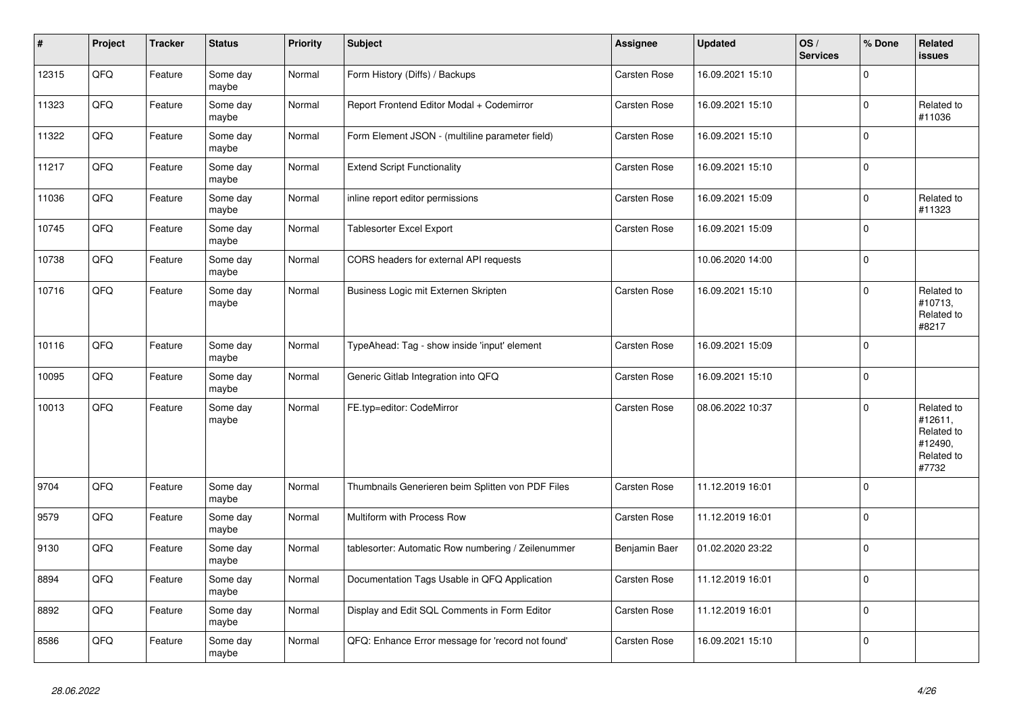| #     | Project | <b>Tracker</b> | <b>Status</b>     | <b>Priority</b> | <b>Subject</b>                                     | <b>Assignee</b>     | <b>Updated</b>   | OS/<br><b>Services</b> | % Done   | Related<br><b>issues</b>                                              |
|-------|---------|----------------|-------------------|-----------------|----------------------------------------------------|---------------------|------------------|------------------------|----------|-----------------------------------------------------------------------|
| 12315 | QFQ     | Feature        | Some day<br>maybe | Normal          | Form History (Diffs) / Backups                     | <b>Carsten Rose</b> | 16.09.2021 15:10 |                        | $\Omega$ |                                                                       |
| 11323 | QFQ     | Feature        | Some day<br>maybe | Normal          | Report Frontend Editor Modal + Codemirror          | <b>Carsten Rose</b> | 16.09.2021 15:10 |                        | $\Omega$ | Related to<br>#11036                                                  |
| 11322 | QFQ     | Feature        | Some day<br>maybe | Normal          | Form Element JSON - (multiline parameter field)    | Carsten Rose        | 16.09.2021 15:10 |                        | $\Omega$ |                                                                       |
| 11217 | QFQ     | Feature        | Some day<br>maybe | Normal          | <b>Extend Script Functionality</b>                 | Carsten Rose        | 16.09.2021 15:10 |                        | $\Omega$ |                                                                       |
| 11036 | QFQ     | Feature        | Some day<br>maybe | Normal          | inline report editor permissions                   | <b>Carsten Rose</b> | 16.09.2021 15:09 |                        | 0        | Related to<br>#11323                                                  |
| 10745 | QFQ     | Feature        | Some day<br>maybe | Normal          | <b>Tablesorter Excel Export</b>                    | <b>Carsten Rose</b> | 16.09.2021 15:09 |                        | $\Omega$ |                                                                       |
| 10738 | QFQ     | Feature        | Some day<br>maybe | Normal          | CORS headers for external API requests             |                     | 10.06.2020 14:00 |                        | $\Omega$ |                                                                       |
| 10716 | QFQ     | Feature        | Some day<br>maybe | Normal          | Business Logic mit Externen Skripten               | <b>Carsten Rose</b> | 16.09.2021 15:10 |                        | $\Omega$ | Related to<br>#10713,<br>Related to<br>#8217                          |
| 10116 | QFQ     | Feature        | Some day<br>maybe | Normal          | TypeAhead: Tag - show inside 'input' element       | Carsten Rose        | 16.09.2021 15:09 |                        | $\Omega$ |                                                                       |
| 10095 | QFQ     | Feature        | Some day<br>maybe | Normal          | Generic Gitlab Integration into QFQ                | Carsten Rose        | 16.09.2021 15:10 |                        | $\Omega$ |                                                                       |
| 10013 | QFQ     | Feature        | Some day<br>maybe | Normal          | FE.typ=editor: CodeMirror                          | <b>Carsten Rose</b> | 08.06.2022 10:37 |                        | $\Omega$ | Related to<br>#12611,<br>Related to<br>#12490,<br>Related to<br>#7732 |
| 9704  | QFQ     | Feature        | Some day<br>maybe | Normal          | Thumbnails Generieren beim Splitten von PDF Files  | Carsten Rose        | 11.12.2019 16:01 |                        | $\Omega$ |                                                                       |
| 9579  | QFQ     | Feature        | Some day<br>maybe | Normal          | Multiform with Process Row                         | Carsten Rose        | 11.12.2019 16:01 |                        | $\Omega$ |                                                                       |
| 9130  | QFQ     | Feature        | Some day<br>maybe | Normal          | tablesorter: Automatic Row numbering / Zeilenummer | Benjamin Baer       | 01.02.2020 23:22 |                        | $\Omega$ |                                                                       |
| 8894  | QFQ     | Feature        | Some day<br>maybe | Normal          | Documentation Tags Usable in QFQ Application       | <b>Carsten Rose</b> | 11.12.2019 16:01 |                        | $\Omega$ |                                                                       |
| 8892  | QFQ     | Feature        | Some day<br>maybe | Normal          | Display and Edit SQL Comments in Form Editor       | Carsten Rose        | 11.12.2019 16:01 |                        | 0        |                                                                       |
| 8586  | QFQ     | Feature        | Some day<br>maybe | Normal          | QFQ: Enhance Error message for 'record not found'  | <b>Carsten Rose</b> | 16.09.2021 15:10 |                        | $\Omega$ |                                                                       |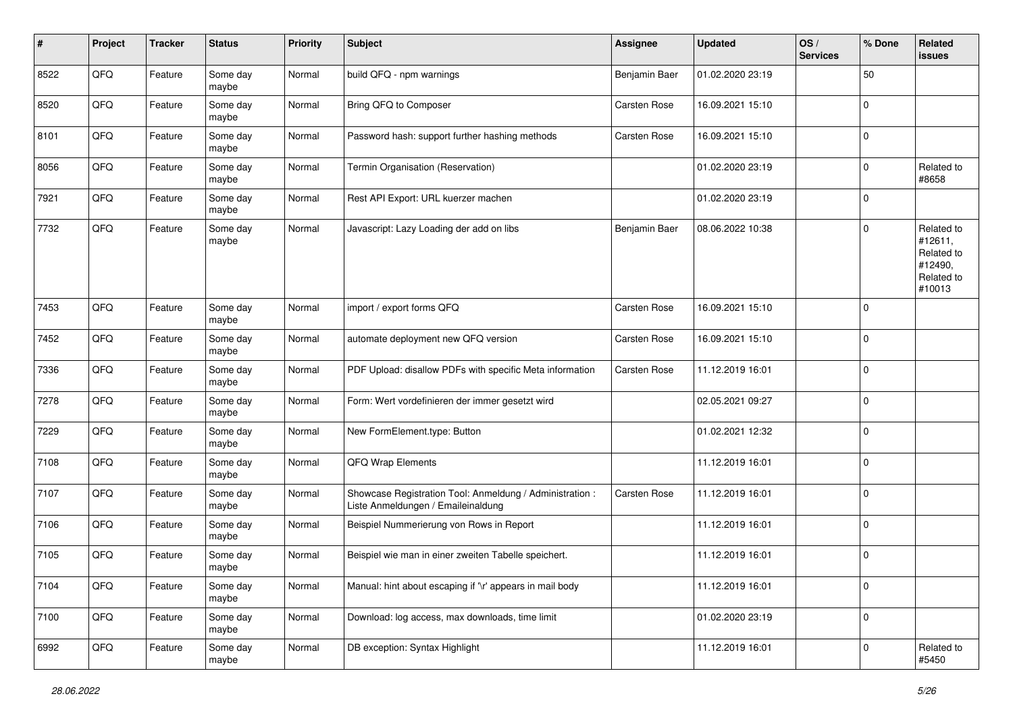| #    | Project | <b>Tracker</b> | <b>Status</b>     | <b>Priority</b> | <b>Subject</b>                                                                                 | <b>Assignee</b>     | <b>Updated</b>   | OS/<br><b>Services</b> | % Done      | Related<br>issues                                                      |
|------|---------|----------------|-------------------|-----------------|------------------------------------------------------------------------------------------------|---------------------|------------------|------------------------|-------------|------------------------------------------------------------------------|
| 8522 | QFQ     | Feature        | Some day<br>maybe | Normal          | build QFQ - npm warnings                                                                       | Benjamin Baer       | 01.02.2020 23:19 |                        | 50          |                                                                        |
| 8520 | QFQ     | Feature        | Some day<br>maybe | Normal          | Bring QFQ to Composer                                                                          | <b>Carsten Rose</b> | 16.09.2021 15:10 |                        | $\Omega$    |                                                                        |
| 8101 | QFQ     | Feature        | Some day<br>maybe | Normal          | Password hash: support further hashing methods                                                 | <b>Carsten Rose</b> | 16.09.2021 15:10 |                        | $\Omega$    |                                                                        |
| 8056 | QFQ     | Feature        | Some day<br>maybe | Normal          | Termin Organisation (Reservation)                                                              |                     | 01.02.2020 23:19 |                        | $\Omega$    | Related to<br>#8658                                                    |
| 7921 | QFQ     | Feature        | Some day<br>maybe | Normal          | Rest API Export: URL kuerzer machen                                                            |                     | 01.02.2020 23:19 |                        | $\mathbf 0$ |                                                                        |
| 7732 | QFQ     | Feature        | Some day<br>maybe | Normal          | Javascript: Lazy Loading der add on libs                                                       | Benjamin Baer       | 08.06.2022 10:38 |                        | $\Omega$    | Related to<br>#12611,<br>Related to<br>#12490,<br>Related to<br>#10013 |
| 7453 | QFQ     | Feature        | Some day<br>maybe | Normal          | import / export forms QFQ                                                                      | <b>Carsten Rose</b> | 16.09.2021 15:10 |                        | $\Omega$    |                                                                        |
| 7452 | QFQ     | Feature        | Some day<br>maybe | Normal          | automate deployment new QFQ version                                                            | Carsten Rose        | 16.09.2021 15:10 |                        | $\Omega$    |                                                                        |
| 7336 | QFQ     | Feature        | Some day<br>maybe | Normal          | PDF Upload: disallow PDFs with specific Meta information                                       | <b>Carsten Rose</b> | 11.12.2019 16:01 |                        | $\Omega$    |                                                                        |
| 7278 | QFQ     | Feature        | Some day<br>maybe | Normal          | Form: Wert vordefinieren der immer gesetzt wird                                                |                     | 02.05.2021 09:27 |                        | $\Omega$    |                                                                        |
| 7229 | QFQ     | Feature        | Some day<br>maybe | Normal          | New FormElement.type: Button                                                                   |                     | 01.02.2021 12:32 |                        | $\Omega$    |                                                                        |
| 7108 | QFQ     | Feature        | Some day<br>maybe | Normal          | QFQ Wrap Elements                                                                              |                     | 11.12.2019 16:01 |                        | $\mathbf 0$ |                                                                        |
| 7107 | QFQ     | Feature        | Some day<br>maybe | Normal          | Showcase Registration Tool: Anmeldung / Administration :<br>Liste Anmeldungen / Emaileinaldung | <b>Carsten Rose</b> | 11.12.2019 16:01 |                        | $\mathbf 0$ |                                                                        |
| 7106 | QFQ     | Feature        | Some day<br>maybe | Normal          | Beispiel Nummerierung von Rows in Report                                                       |                     | 11.12.2019 16:01 |                        | $\mathbf 0$ |                                                                        |
| 7105 | QFQ     | Feature        | Some day<br>maybe | Normal          | Beispiel wie man in einer zweiten Tabelle speichert.                                           |                     | 11.12.2019 16:01 |                        | $\Omega$    |                                                                        |
| 7104 | QFG     | Feature        | Some day<br>maybe | Normal          | Manual: hint about escaping if '\r' appears in mail body                                       |                     | 11.12.2019 16:01 |                        | $\mathbf 0$ |                                                                        |
| 7100 | QFG     | Feature        | Some day<br>maybe | Normal          | Download: log access, max downloads, time limit                                                |                     | 01.02.2020 23:19 |                        | $\mathbf 0$ |                                                                        |
| 6992 | QFG     | Feature        | Some day<br>maybe | Normal          | DB exception: Syntax Highlight                                                                 |                     | 11.12.2019 16:01 |                        | $\mathbf 0$ | Related to<br>#5450                                                    |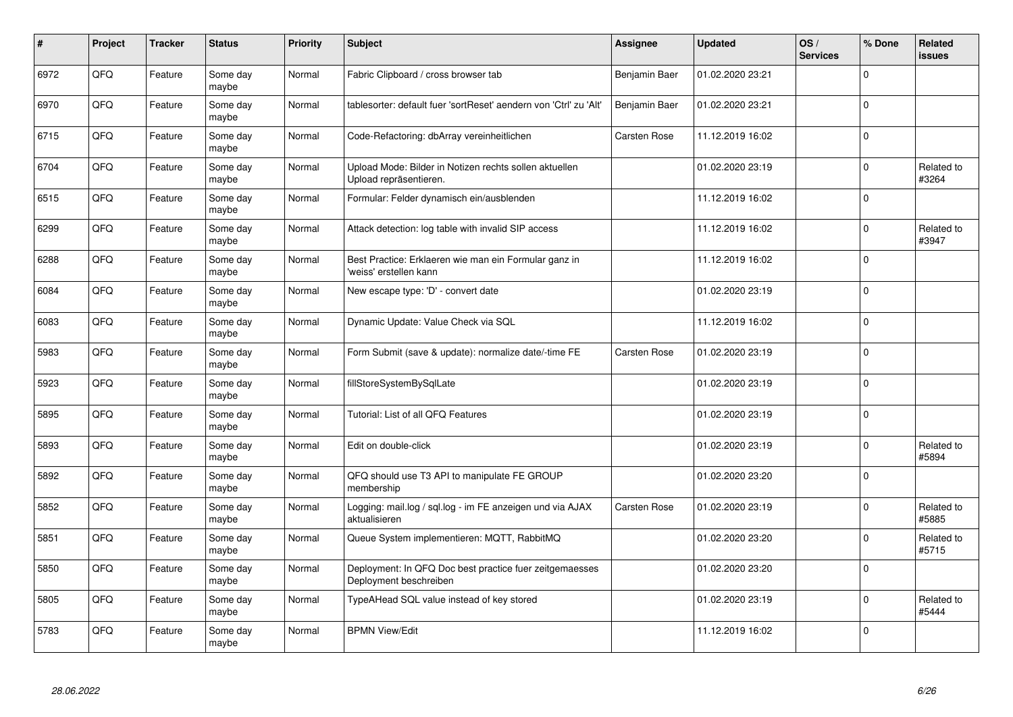| $\pmb{\#}$ | Project | <b>Tracker</b> | <b>Status</b>     | <b>Priority</b> | <b>Subject</b>                                                                    | Assignee      | <b>Updated</b>   | OS/<br><b>Services</b> | % Done      | Related<br><b>issues</b> |
|------------|---------|----------------|-------------------|-----------------|-----------------------------------------------------------------------------------|---------------|------------------|------------------------|-------------|--------------------------|
| 6972       | QFQ     | Feature        | Some day<br>maybe | Normal          | Fabric Clipboard / cross browser tab                                              | Benjamin Baer | 01.02.2020 23:21 |                        | $\Omega$    |                          |
| 6970       | QFQ     | Feature        | Some day<br>maybe | Normal          | tablesorter: default fuer 'sortReset' aendern von 'Ctrl' zu 'Alt'                 | Benjamin Baer | 01.02.2020 23:21 |                        | $\Omega$    |                          |
| 6715       | QFQ     | Feature        | Some day<br>maybe | Normal          | Code-Refactoring: dbArray vereinheitlichen                                        | Carsten Rose  | 11.12.2019 16:02 |                        | $\mathbf 0$ |                          |
| 6704       | QFQ     | Feature        | Some day<br>maybe | Normal          | Upload Mode: Bilder in Notizen rechts sollen aktuellen<br>Upload repräsentieren.  |               | 01.02.2020 23:19 |                        | $\Omega$    | Related to<br>#3264      |
| 6515       | QFQ     | Feature        | Some day<br>maybe | Normal          | Formular: Felder dynamisch ein/ausblenden                                         |               | 11.12.2019 16:02 |                        | $\Omega$    |                          |
| 6299       | QFQ     | Feature        | Some day<br>maybe | Normal          | Attack detection: log table with invalid SIP access                               |               | 11.12.2019 16:02 |                        | $\mathbf 0$ | Related to<br>#3947      |
| 6288       | QFQ     | Feature        | Some day<br>maybe | Normal          | Best Practice: Erklaeren wie man ein Formular ganz in<br>'weiss' erstellen kann   |               | 11.12.2019 16:02 |                        | $\Omega$    |                          |
| 6084       | QFQ     | Feature        | Some day<br>maybe | Normal          | New escape type: 'D' - convert date                                               |               | 01.02.2020 23:19 |                        | $\Omega$    |                          |
| 6083       | QFQ     | Feature        | Some day<br>maybe | Normal          | Dynamic Update: Value Check via SQL                                               |               | 11.12.2019 16:02 |                        | $\Omega$    |                          |
| 5983       | QFQ     | Feature        | Some day<br>maybe | Normal          | Form Submit (save & update): normalize date/-time FE                              | Carsten Rose  | 01.02.2020 23:19 |                        | $\mathbf 0$ |                          |
| 5923       | QFQ     | Feature        | Some day<br>maybe | Normal          | fillStoreSystemBySqlLate                                                          |               | 01.02.2020 23:19 |                        | $\Omega$    |                          |
| 5895       | QFQ     | Feature        | Some day<br>maybe | Normal          | Tutorial: List of all QFQ Features                                                |               | 01.02.2020 23:19 |                        | $\Omega$    |                          |
| 5893       | QFQ     | Feature        | Some day<br>maybe | Normal          | Edit on double-click                                                              |               | 01.02.2020 23:19 |                        | $\mathbf 0$ | Related to<br>#5894      |
| 5892       | QFQ     | Feature        | Some day<br>maybe | Normal          | QFQ should use T3 API to manipulate FE GROUP<br>membership                        |               | 01.02.2020 23:20 |                        | $\mathbf 0$ |                          |
| 5852       | QFQ     | Feature        | Some day<br>maybe | Normal          | Logging: mail.log / sql.log - im FE anzeigen und via AJAX<br>aktualisieren        | Carsten Rose  | 01.02.2020 23:19 |                        | $\Omega$    | Related to<br>#5885      |
| 5851       | QFQ     | Feature        | Some day<br>maybe | Normal          | Queue System implementieren: MQTT, RabbitMQ                                       |               | 01.02.2020 23:20 |                        | $\Omega$    | Related to<br>#5715      |
| 5850       | QFQ     | Feature        | Some day<br>maybe | Normal          | Deployment: In QFQ Doc best practice fuer zeitgemaesses<br>Deployment beschreiben |               | 01.02.2020 23:20 |                        | $\mathbf 0$ |                          |
| 5805       | QFQ     | Feature        | Some day<br>maybe | Normal          | TypeAHead SQL value instead of key stored                                         |               | 01.02.2020 23:19 |                        | $\Omega$    | Related to<br>#5444      |
| 5783       | QFQ     | Feature        | Some day<br>maybe | Normal          | <b>BPMN View/Edit</b>                                                             |               | 11.12.2019 16:02 |                        | $\Omega$    |                          |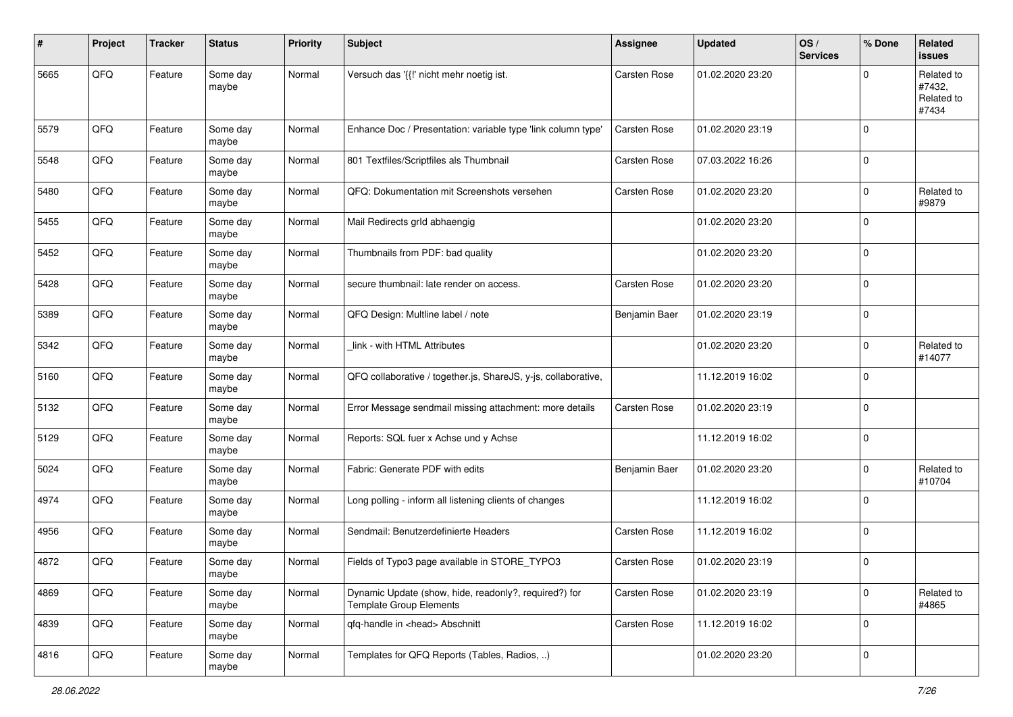| #    | Project | <b>Tracker</b> | <b>Status</b>     | <b>Priority</b> | Subject                                                                                 | Assignee            | <b>Updated</b>   | OS/<br><b>Services</b> | % Done         | Related<br><b>issues</b>                    |
|------|---------|----------------|-------------------|-----------------|-----------------------------------------------------------------------------------------|---------------------|------------------|------------------------|----------------|---------------------------------------------|
| 5665 | QFQ     | Feature        | Some day<br>maybe | Normal          | Versuch das '{{!' nicht mehr noetig ist.                                                | Carsten Rose        | 01.02.2020 23:20 |                        | 0              | Related to<br>#7432,<br>Related to<br>#7434 |
| 5579 | QFQ     | Feature        | Some day<br>maybe | Normal          | Enhance Doc / Presentation: variable type 'link column type'                            | Carsten Rose        | 01.02.2020 23:19 |                        | $\Omega$       |                                             |
| 5548 | QFQ     | Feature        | Some day<br>maybe | Normal          | 801 Textfiles/Scriptfiles als Thumbnail                                                 | Carsten Rose        | 07.03.2022 16:26 |                        | $\mathbf 0$    |                                             |
| 5480 | QFQ     | Feature        | Some day<br>maybe | Normal          | QFQ: Dokumentation mit Screenshots versehen                                             | <b>Carsten Rose</b> | 01.02.2020 23:20 |                        | $\Omega$       | Related to<br>#9879                         |
| 5455 | QFQ     | Feature        | Some day<br>maybe | Normal          | Mail Redirects grld abhaengig                                                           |                     | 01.02.2020 23:20 |                        | $\Omega$       |                                             |
| 5452 | QFQ     | Feature        | Some day<br>maybe | Normal          | Thumbnails from PDF: bad quality                                                        |                     | 01.02.2020 23:20 |                        | $\Omega$       |                                             |
| 5428 | QFQ     | Feature        | Some day<br>maybe | Normal          | secure thumbnail: late render on access.                                                | Carsten Rose        | 01.02.2020 23:20 |                        | $\mathbf 0$    |                                             |
| 5389 | QFQ     | Feature        | Some day<br>maybe | Normal          | QFQ Design: Multline label / note                                                       | Benjamin Baer       | 01.02.2020 23:19 |                        | $\mathbf 0$    |                                             |
| 5342 | QFQ     | Feature        | Some day<br>maybe | Normal          | link - with HTML Attributes                                                             |                     | 01.02.2020 23:20 |                        | $\Omega$       | Related to<br>#14077                        |
| 5160 | QFQ     | Feature        | Some day<br>maybe | Normal          | QFQ collaborative / together.js, ShareJS, y-js, collaborative,                          |                     | 11.12.2019 16:02 |                        | $\mathbf 0$    |                                             |
| 5132 | QFQ     | Feature        | Some day<br>maybe | Normal          | Error Message sendmail missing attachment: more details                                 | <b>Carsten Rose</b> | 01.02.2020 23:19 |                        | $\overline{0}$ |                                             |
| 5129 | QFQ     | Feature        | Some day<br>maybe | Normal          | Reports: SQL fuer x Achse und y Achse                                                   |                     | 11.12.2019 16:02 |                        | 0              |                                             |
| 5024 | QFQ     | Feature        | Some day<br>maybe | Normal          | Fabric: Generate PDF with edits                                                         | Benjamin Baer       | 01.02.2020 23:20 |                        | $\Omega$       | Related to<br>#10704                        |
| 4974 | QFQ     | Feature        | Some day<br>maybe | Normal          | Long polling - inform all listening clients of changes                                  |                     | 11.12.2019 16:02 |                        | $\Omega$       |                                             |
| 4956 | QFQ     | Feature        | Some day<br>maybe | Normal          | Sendmail: Benutzerdefinierte Headers                                                    | Carsten Rose        | 11.12.2019 16:02 |                        | $\mathbf 0$    |                                             |
| 4872 | QFQ     | Feature        | Some day<br>maybe | Normal          | Fields of Typo3 page available in STORE_TYPO3                                           | Carsten Rose        | 01.02.2020 23:19 |                        | $\mathbf 0$    |                                             |
| 4869 | QFQ     | Feature        | Some day<br>maybe | Normal          | Dynamic Update (show, hide, readonly?, required?) for<br><b>Template Group Elements</b> | Carsten Rose        | 01.02.2020 23:19 |                        | $\mathbf 0$    | Related to<br>#4865                         |
| 4839 | QFQ     | Feature        | Some day<br>maybe | Normal          | qfq-handle in <head> Abschnitt</head>                                                   | Carsten Rose        | 11.12.2019 16:02 |                        | 0              |                                             |
| 4816 | QFG     | Feature        | Some day<br>maybe | Normal          | Templates for QFQ Reports (Tables, Radios, )                                            |                     | 01.02.2020 23:20 |                        | 0              |                                             |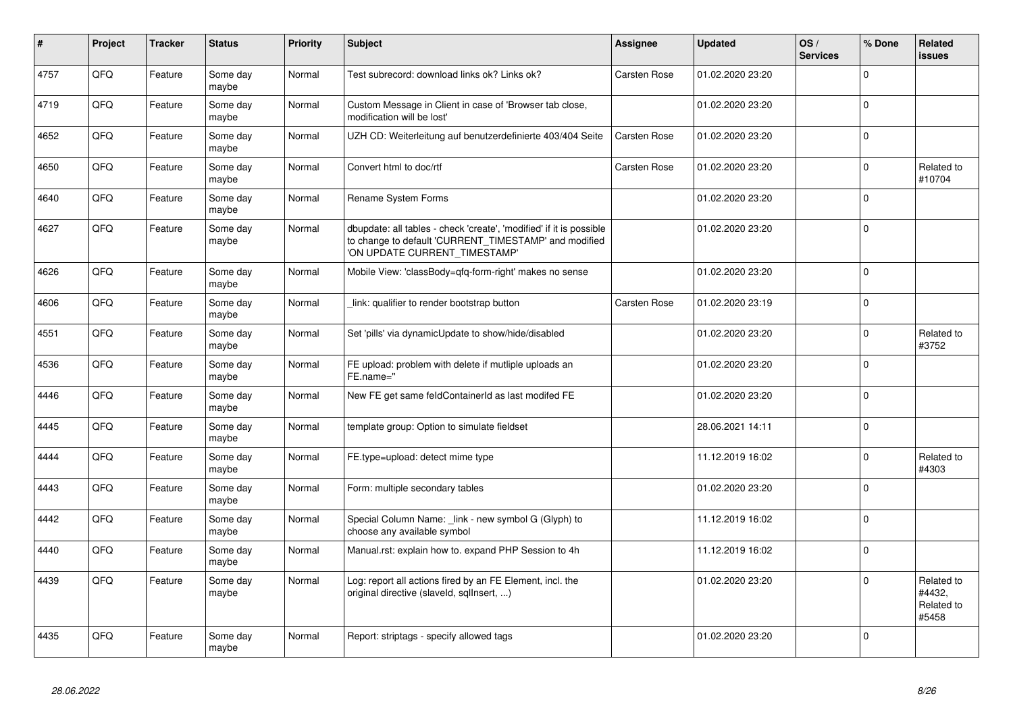| $\vert$ # | Project | <b>Tracker</b> | <b>Status</b>     | <b>Priority</b> | <b>Subject</b>                                                                                                                                                | <b>Assignee</b>     | <b>Updated</b>   | OS/<br><b>Services</b> | % Done   | Related<br><b>issues</b>                    |
|-----------|---------|----------------|-------------------|-----------------|---------------------------------------------------------------------------------------------------------------------------------------------------------------|---------------------|------------------|------------------------|----------|---------------------------------------------|
| 4757      | QFQ     | Feature        | Some day<br>maybe | Normal          | Test subrecord: download links ok? Links ok?                                                                                                                  | Carsten Rose        | 01.02.2020 23:20 |                        | $\Omega$ |                                             |
| 4719      | QFQ     | Feature        | Some day<br>maybe | Normal          | Custom Message in Client in case of 'Browser tab close,<br>modification will be lost'                                                                         |                     | 01.02.2020 23:20 |                        | $\Omega$ |                                             |
| 4652      | QFQ     | Feature        | Some day<br>maybe | Normal          | UZH CD: Weiterleitung auf benutzerdefinierte 403/404 Seite                                                                                                    | <b>Carsten Rose</b> | 01.02.2020 23:20 |                        | $\Omega$ |                                             |
| 4650      | QFQ     | Feature        | Some day<br>maybe | Normal          | Convert html to doc/rtf                                                                                                                                       | <b>Carsten Rose</b> | 01.02.2020 23:20 |                        | $\Omega$ | Related to<br>#10704                        |
| 4640      | QFQ     | Feature        | Some day<br>maybe | Normal          | <b>Rename System Forms</b>                                                                                                                                    |                     | 01.02.2020 23:20 |                        | $\Omega$ |                                             |
| 4627      | QFG     | Feature        | Some day<br>maybe | Normal          | dbupdate: all tables - check 'create', 'modified' if it is possible<br>to change to default 'CURRENT_TIMESTAMP' and modified<br>'ON UPDATE CURRENT_TIMESTAMP' |                     | 01.02.2020 23:20 |                        | $\Omega$ |                                             |
| 4626      | QFQ     | Feature        | Some day<br>maybe | Normal          | Mobile View: 'classBody=qfq-form-right' makes no sense                                                                                                        |                     | 01.02.2020 23:20 |                        | $\Omega$ |                                             |
| 4606      | QFQ     | Feature        | Some day<br>maybe | Normal          | link: qualifier to render bootstrap button                                                                                                                    | <b>Carsten Rose</b> | 01.02.2020 23:19 |                        | $\Omega$ |                                             |
| 4551      | QFQ     | Feature        | Some day<br>maybe | Normal          | Set 'pills' via dynamicUpdate to show/hide/disabled                                                                                                           |                     | 01.02.2020 23:20 |                        | $\Omega$ | Related to<br>#3752                         |
| 4536      | QFQ     | Feature        | Some day<br>maybe | Normal          | FE upload: problem with delete if mutliple uploads an<br>FE.name="                                                                                            |                     | 01.02.2020 23:20 |                        | $\Omega$ |                                             |
| 4446      | QFQ     | Feature        | Some day<br>maybe | Normal          | New FE get same feldContainerId as last modifed FE                                                                                                            |                     | 01.02.2020 23:20 |                        | $\Omega$ |                                             |
| 4445      | QFQ     | Feature        | Some day<br>maybe | Normal          | template group: Option to simulate fieldset                                                                                                                   |                     | 28.06.2021 14:11 |                        | $\Omega$ |                                             |
| 4444      | QFQ     | Feature        | Some day<br>maybe | Normal          | FE.type=upload: detect mime type                                                                                                                              |                     | 11.12.2019 16:02 |                        | $\Omega$ | Related to<br>#4303                         |
| 4443      | QFQ     | Feature        | Some day<br>maybe | Normal          | Form: multiple secondary tables                                                                                                                               |                     | 01.02.2020 23:20 |                        | $\Omega$ |                                             |
| 4442      | QFQ     | Feature        | Some day<br>maybe | Normal          | Special Column Name: link - new symbol G (Glyph) to<br>choose any available symbol                                                                            |                     | 11.12.2019 16:02 |                        | $\Omega$ |                                             |
| 4440      | QFQ     | Feature        | Some day<br>maybe | Normal          | Manual.rst: explain how to. expand PHP Session to 4h                                                                                                          |                     | 11.12.2019 16:02 |                        | $\Omega$ |                                             |
| 4439      | QFQ     | Feature        | Some day<br>maybe | Normal          | Log: report all actions fired by an FE Element, incl. the<br>original directive (slaveld, sqllnsert, )                                                        |                     | 01.02.2020 23:20 |                        | $\Omega$ | Related to<br>#4432,<br>Related to<br>#5458 |
| 4435      | QFQ     | Feature        | Some day<br>maybe | Normal          | Report: striptags - specify allowed tags                                                                                                                      |                     | 01.02.2020 23:20 |                        | $\Omega$ |                                             |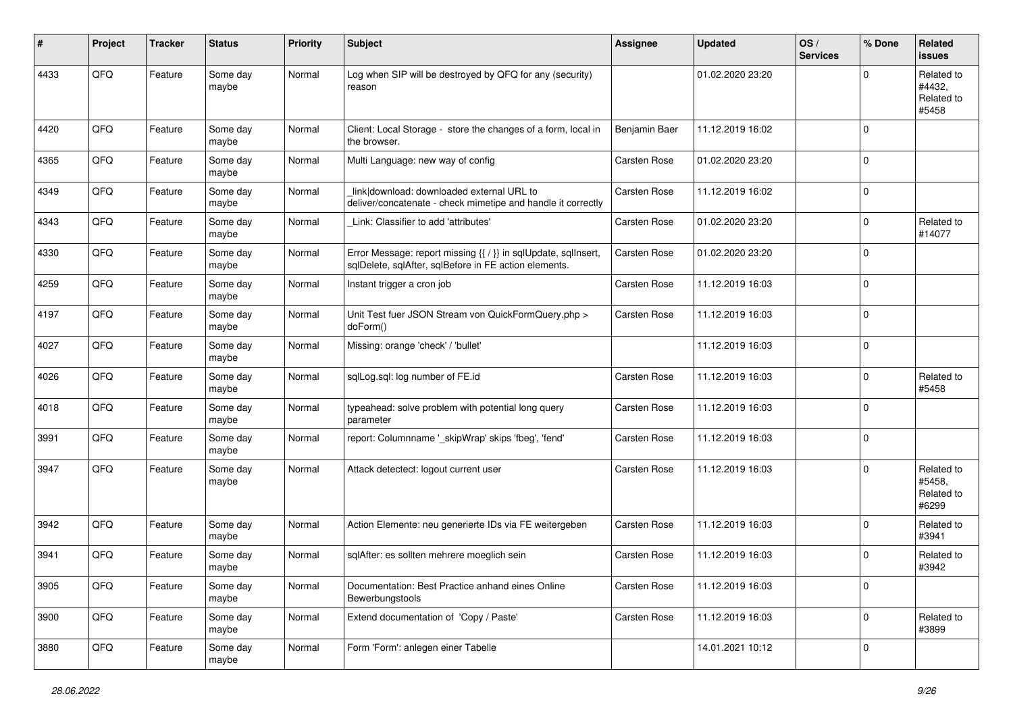| #    | Project | <b>Tracker</b> | <b>Status</b>     | <b>Priority</b> | <b>Subject</b>                                                                                                          | <b>Assignee</b>     | <b>Updated</b>   | OS/<br><b>Services</b> | % Done      | Related<br><b>issues</b>                    |
|------|---------|----------------|-------------------|-----------------|-------------------------------------------------------------------------------------------------------------------------|---------------------|------------------|------------------------|-------------|---------------------------------------------|
| 4433 | QFQ     | Feature        | Some day<br>maybe | Normal          | Log when SIP will be destroyed by QFQ for any (security)<br>reason                                                      |                     | 01.02.2020 23:20 |                        | 0           | Related to<br>#4432,<br>Related to<br>#5458 |
| 4420 | QFQ     | Feature        | Some day<br>maybe | Normal          | Client: Local Storage - store the changes of a form, local in<br>the browser.                                           | Benjamin Baer       | 11.12.2019 16:02 |                        | $\Omega$    |                                             |
| 4365 | QFQ     | Feature        | Some day<br>maybe | Normal          | Multi Language: new way of config                                                                                       | <b>Carsten Rose</b> | 01.02.2020 23:20 |                        | $\Omega$    |                                             |
| 4349 | QFQ     | Feature        | Some day<br>maybe | Normal          | link download: downloaded external URL to<br>deliver/concatenate - check mimetipe and handle it correctly               | <b>Carsten Rose</b> | 11.12.2019 16:02 |                        | $\mathbf 0$ |                                             |
| 4343 | QFQ     | Feature        | Some day<br>maybe | Normal          | Link: Classifier to add 'attributes'                                                                                    | Carsten Rose        | 01.02.2020 23:20 |                        | 0           | Related to<br>#14077                        |
| 4330 | QFQ     | Feature        | Some day<br>maybe | Normal          | Error Message: report missing {{ / }} in sqlUpdate, sqlInsert,<br>sqlDelete, sqlAfter, sqlBefore in FE action elements. | <b>Carsten Rose</b> | 01.02.2020 23:20 |                        | $\Omega$    |                                             |
| 4259 | QFQ     | Feature        | Some day<br>maybe | Normal          | Instant trigger a cron job                                                                                              | Carsten Rose        | 11.12.2019 16:03 |                        | $\mathbf 0$ |                                             |
| 4197 | QFQ     | Feature        | Some day<br>maybe | Normal          | Unit Test fuer JSON Stream von QuickFormQuery.php ><br>doForm()                                                         | Carsten Rose        | 11.12.2019 16:03 |                        | $\Omega$    |                                             |
| 4027 | QFQ     | Feature        | Some day<br>maybe | Normal          | Missing: orange 'check' / 'bullet'                                                                                      |                     | 11.12.2019 16:03 |                        | $\Omega$    |                                             |
| 4026 | QFQ     | Feature        | Some day<br>maybe | Normal          | sqlLog.sql: log number of FE.id                                                                                         | <b>Carsten Rose</b> | 11.12.2019 16:03 |                        | $\Omega$    | Related to<br>#5458                         |
| 4018 | QFQ     | Feature        | Some day<br>maybe | Normal          | typeahead: solve problem with potential long query<br>parameter                                                         | <b>Carsten Rose</b> | 11.12.2019 16:03 |                        | $\mathbf 0$ |                                             |
| 3991 | QFQ     | Feature        | Some day<br>maybe | Normal          | report: Columnname '_skipWrap' skips 'fbeg', 'fend'                                                                     | <b>Carsten Rose</b> | 11.12.2019 16:03 |                        | $\mathbf 0$ |                                             |
| 3947 | QFQ     | Feature        | Some day<br>maybe | Normal          | Attack detectect: logout current user                                                                                   | <b>Carsten Rose</b> | 11.12.2019 16:03 |                        | $\Omega$    | Related to<br>#5458,<br>Related to<br>#6299 |
| 3942 | QFQ     | Feature        | Some day<br>maybe | Normal          | Action Elemente: neu generierte IDs via FE weitergeben                                                                  | <b>Carsten Rose</b> | 11.12.2019 16:03 |                        | $\Omega$    | Related to<br>#3941                         |
| 3941 | QFQ     | Feature        | Some day<br>maybe | Normal          | sqlAfter: es sollten mehrere moeglich sein                                                                              | <b>Carsten Rose</b> | 11.12.2019 16:03 |                        | $\Omega$    | Related to<br>#3942                         |
| 3905 | QFQ     | Feature        | Some day<br>maybe | Normal          | Documentation: Best Practice anhand eines Online<br>Bewerbungstools                                                     | Carsten Rose        | 11.12.2019 16:03 |                        | $\mathbf 0$ |                                             |
| 3900 | QFQ     | Feature        | Some day<br>maybe | Normal          | Extend documentation of 'Copy / Paste'                                                                                  | <b>Carsten Rose</b> | 11.12.2019 16:03 |                        | $\mathbf 0$ | Related to<br>#3899                         |
| 3880 | QFQ     | Feature        | Some day<br>maybe | Normal          | Form 'Form': anlegen einer Tabelle                                                                                      |                     | 14.01.2021 10:12 |                        | $\mathbf 0$ |                                             |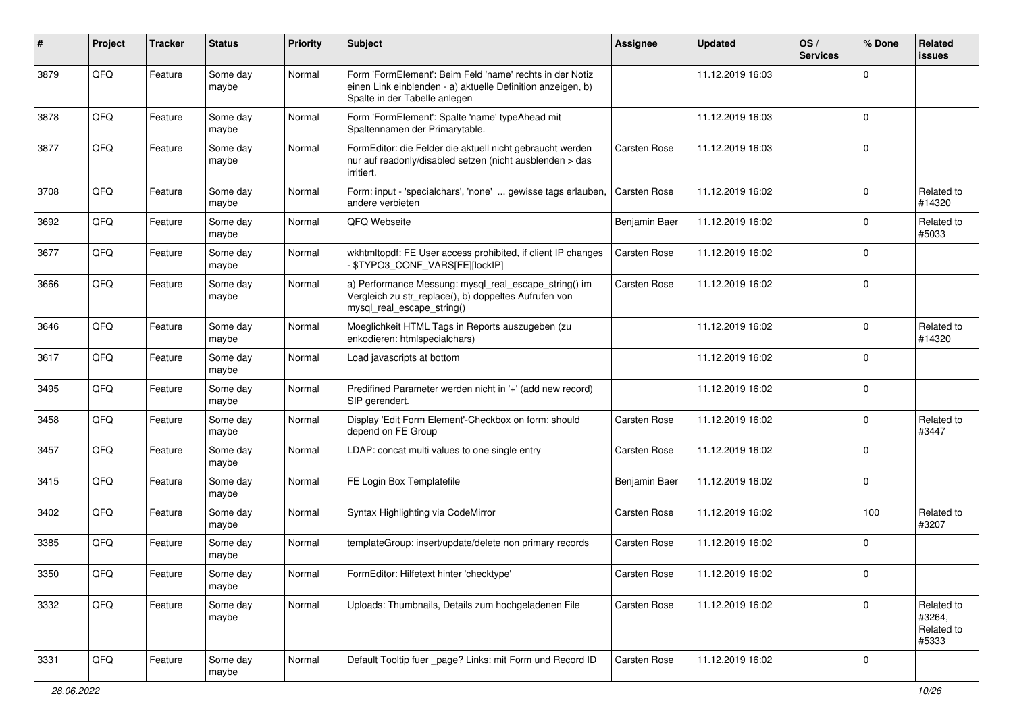| ∦    | Project | <b>Tracker</b> | <b>Status</b>     | <b>Priority</b> | <b>Subject</b>                                                                                                                                           | Assignee            | <b>Updated</b>   | OS/<br><b>Services</b> | % Done      | Related<br>issues                           |
|------|---------|----------------|-------------------|-----------------|----------------------------------------------------------------------------------------------------------------------------------------------------------|---------------------|------------------|------------------------|-------------|---------------------------------------------|
| 3879 | QFQ     | Feature        | Some day<br>maybe | Normal          | Form 'FormElement': Beim Feld 'name' rechts in der Notiz<br>einen Link einblenden - a) aktuelle Definition anzeigen, b)<br>Spalte in der Tabelle anlegen |                     | 11.12.2019 16:03 |                        | $\Omega$    |                                             |
| 3878 | QFQ     | Feature        | Some day<br>maybe | Normal          | Form 'FormElement': Spalte 'name' typeAhead mit<br>Spaltennamen der Primarytable.                                                                        |                     | 11.12.2019 16:03 |                        | $\Omega$    |                                             |
| 3877 | QFQ     | Feature        | Some day<br>maybe | Normal          | FormEditor: die Felder die aktuell nicht gebraucht werden<br>nur auf readonly/disabled setzen (nicht ausblenden > das<br>irritiert.                      | <b>Carsten Rose</b> | 11.12.2019 16:03 |                        | $\mathbf 0$ |                                             |
| 3708 | QFQ     | Feature        | Some day<br>maybe | Normal          | Form: input - 'specialchars', 'none'  gewisse tags erlauben,<br>andere verbieten                                                                         | Carsten Rose        | 11.12.2019 16:02 |                        | $\Omega$    | Related to<br>#14320                        |
| 3692 | QFQ     | Feature        | Some day<br>maybe | Normal          | QFQ Webseite                                                                                                                                             | Benjamin Baer       | 11.12.2019 16:02 |                        | $\Omega$    | Related to<br>#5033                         |
| 3677 | QFQ     | Feature        | Some day<br>maybe | Normal          | wkhtmltopdf: FE User access prohibited, if client IP changes<br>- \$TYPO3_CONF_VARS[FE][lockIP]                                                          | <b>Carsten Rose</b> | 11.12.2019 16:02 |                        | $\Omega$    |                                             |
| 3666 | QFQ     | Feature        | Some day<br>maybe | Normal          | a) Performance Messung: mysql_real_escape_string() im<br>Vergleich zu str_replace(), b) doppeltes Aufrufen von<br>mysql_real_escape_string()             | <b>Carsten Rose</b> | 11.12.2019 16:02 |                        | $\Omega$    |                                             |
| 3646 | QFQ     | Feature        | Some day<br>maybe | Normal          | Moeglichkeit HTML Tags in Reports auszugeben (zu<br>enkodieren: htmlspecialchars)                                                                        |                     | 11.12.2019 16:02 |                        | $\Omega$    | Related to<br>#14320                        |
| 3617 | QFQ     | Feature        | Some day<br>maybe | Normal          | Load javascripts at bottom                                                                                                                               |                     | 11.12.2019 16:02 |                        | $\Omega$    |                                             |
| 3495 | QFQ     | Feature        | Some day<br>maybe | Normal          | Predifined Parameter werden nicht in '+' (add new record)<br>SIP gerendert.                                                                              |                     | 11.12.2019 16:02 |                        | $\Omega$    |                                             |
| 3458 | QFQ     | Feature        | Some day<br>maybe | Normal          | Display 'Edit Form Element'-Checkbox on form: should<br>depend on FE Group                                                                               | <b>Carsten Rose</b> | 11.12.2019 16:02 |                        | $\Omega$    | Related to<br>#3447                         |
| 3457 | QFQ     | Feature        | Some day<br>maybe | Normal          | LDAP: concat multi values to one single entry                                                                                                            | <b>Carsten Rose</b> | 11.12.2019 16:02 |                        | $\Omega$    |                                             |
| 3415 | QFQ     | Feature        | Some day<br>maybe | Normal          | FE Login Box Templatefile                                                                                                                                | Benjamin Baer       | 11.12.2019 16:02 |                        | $\Omega$    |                                             |
| 3402 | QFQ     | Feature        | Some day<br>maybe | Normal          | Syntax Highlighting via CodeMirror                                                                                                                       | Carsten Rose        | 11.12.2019 16:02 |                        | 100         | Related to<br>#3207                         |
| 3385 | QFQ     | Feature        | Some day<br>maybe | Normal          | templateGroup: insert/update/delete non primary records                                                                                                  | Carsten Rose        | 11.12.2019 16:02 |                        | $\Omega$    |                                             |
| 3350 | QFO     | Feature        | Some day<br>maybe | Normal          | FormEditor: Hilfetext hinter 'checktype'                                                                                                                 | Carsten Rose        | 11.12.2019 16:02 |                        |             |                                             |
| 3332 | QFQ     | Feature        | Some day<br>maybe | Normal          | Uploads: Thumbnails, Details zum hochgeladenen File                                                                                                      | <b>Carsten Rose</b> | 11.12.2019 16:02 |                        | 0           | Related to<br>#3264,<br>Related to<br>#5333 |
| 3331 | QFG     | Feature        | Some day<br>maybe | Normal          | Default Tooltip fuer _page? Links: mit Form und Record ID                                                                                                | <b>Carsten Rose</b> | 11.12.2019 16:02 |                        | $\mathbf 0$ |                                             |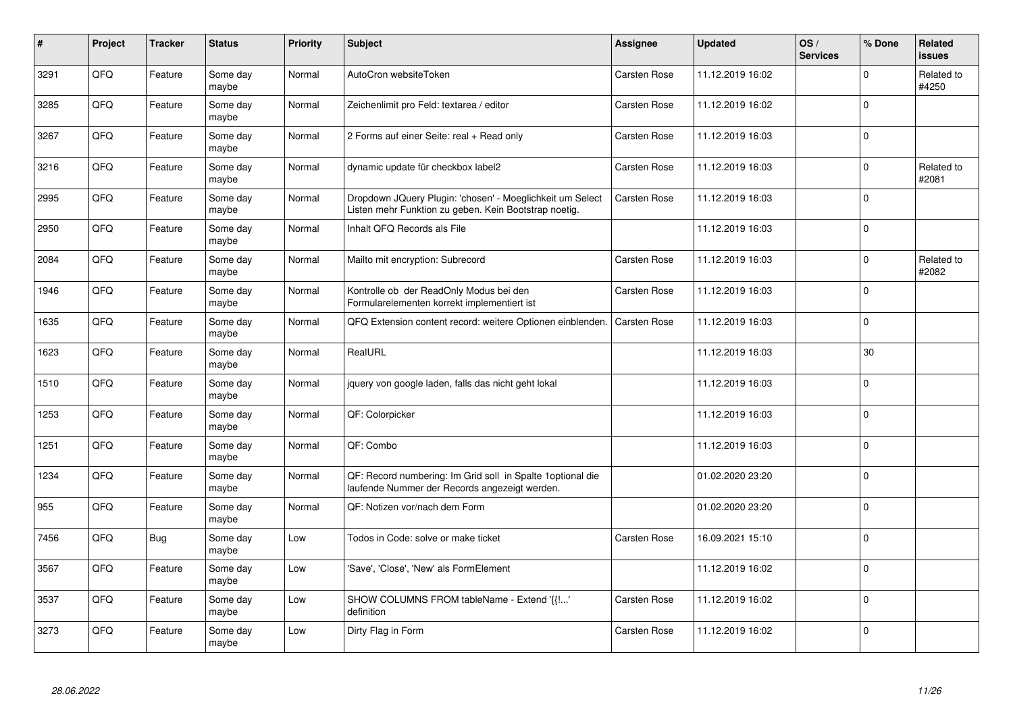| $\sharp$ | Project | <b>Tracker</b> | <b>Status</b>     | <b>Priority</b> | <b>Subject</b>                                                                                                     | <b>Assignee</b>     | <b>Updated</b>   | OS/<br><b>Services</b> | % Done      | Related<br><b>issues</b> |
|----------|---------|----------------|-------------------|-----------------|--------------------------------------------------------------------------------------------------------------------|---------------------|------------------|------------------------|-------------|--------------------------|
| 3291     | QFQ     | Feature        | Some day<br>maybe | Normal          | AutoCron websiteToken                                                                                              | <b>Carsten Rose</b> | 11.12.2019 16:02 |                        | $\Omega$    | Related to<br>#4250      |
| 3285     | QFQ     | Feature        | Some day<br>maybe | Normal          | Zeichenlimit pro Feld: textarea / editor                                                                           | Carsten Rose        | 11.12.2019 16:02 |                        | $\Omega$    |                          |
| 3267     | QFQ     | Feature        | Some day<br>maybe | Normal          | 2 Forms auf einer Seite: real + Read only                                                                          | Carsten Rose        | 11.12.2019 16:03 |                        | $\mathbf 0$ |                          |
| 3216     | QFQ     | Feature        | Some day<br>maybe | Normal          | dynamic update für checkbox label2                                                                                 | <b>Carsten Rose</b> | 11.12.2019 16:03 |                        | $\Omega$    | Related to<br>#2081      |
| 2995     | QFQ     | Feature        | Some day<br>maybe | Normal          | Dropdown JQuery Plugin: 'chosen' - Moeglichkeit um Select<br>Listen mehr Funktion zu geben. Kein Bootstrap noetig. | <b>Carsten Rose</b> | 11.12.2019 16:03 |                        | $\Omega$    |                          |
| 2950     | QFQ     | Feature        | Some day<br>maybe | Normal          | Inhalt QFQ Records als File                                                                                        |                     | 11.12.2019 16:03 |                        | $\mathbf 0$ |                          |
| 2084     | QFQ     | Feature        | Some day<br>maybe | Normal          | Mailto mit encryption: Subrecord                                                                                   | Carsten Rose        | 11.12.2019 16:03 |                        | $\Omega$    | Related to<br>#2082      |
| 1946     | QFQ     | Feature        | Some day<br>maybe | Normal          | Kontrolle ob der ReadOnly Modus bei den<br>Formularelementen korrekt implementiert ist                             | <b>Carsten Rose</b> | 11.12.2019 16:03 |                        | $\Omega$    |                          |
| 1635     | QFQ     | Feature        | Some day<br>maybe | Normal          | QFQ Extension content record: weitere Optionen einblenden.                                                         | <b>Carsten Rose</b> | 11.12.2019 16:03 |                        | $\Omega$    |                          |
| 1623     | QFQ     | Feature        | Some day<br>maybe | Normal          | RealURL                                                                                                            |                     | 11.12.2019 16:03 |                        | 30          |                          |
| 1510     | QFG     | Feature        | Some day<br>maybe | Normal          | jquery von google laden, falls das nicht geht lokal                                                                |                     | 11.12.2019 16:03 |                        | $\Omega$    |                          |
| 1253     | QFQ     | Feature        | Some day<br>maybe | Normal          | QF: Colorpicker                                                                                                    |                     | 11.12.2019 16:03 |                        | $\Omega$    |                          |
| 1251     | QFQ     | Feature        | Some day<br>maybe | Normal          | QF: Combo                                                                                                          |                     | 11.12.2019 16:03 |                        | $\mathbf 0$ |                          |
| 1234     | QFQ     | Feature        | Some day<br>maybe | Normal          | QF: Record numbering: Im Grid soll in Spalte 1 optional die<br>laufende Nummer der Records angezeigt werden.       |                     | 01.02.2020 23:20 |                        | $\Omega$    |                          |
| 955      | QFQ     | Feature        | Some day<br>maybe | Normal          | QF: Notizen vor/nach dem Form                                                                                      |                     | 01.02.2020 23:20 |                        | $\Omega$    |                          |
| 7456     | QFQ     | Bug            | Some day<br>maybe | Low             | Todos in Code: solve or make ticket                                                                                | Carsten Rose        | 16.09.2021 15:10 |                        | $\Omega$    |                          |
| 3567     | QFQ     | Feature        | Some day<br>maybe | Low             | 'Save', 'Close', 'New' als FormElement                                                                             |                     | 11.12.2019 16:02 |                        | $\Omega$    |                          |
| 3537     | QFQ     | Feature        | Some day<br>maybe | Low             | SHOW COLUMNS FROM tableName - Extend '{{!'<br>definition                                                           | Carsten Rose        | 11.12.2019 16:02 |                        | $\Omega$    |                          |
| 3273     | QFQ     | Feature        | Some day<br>maybe | Low             | Dirty Flag in Form                                                                                                 | Carsten Rose        | 11.12.2019 16:02 |                        | $\Omega$    |                          |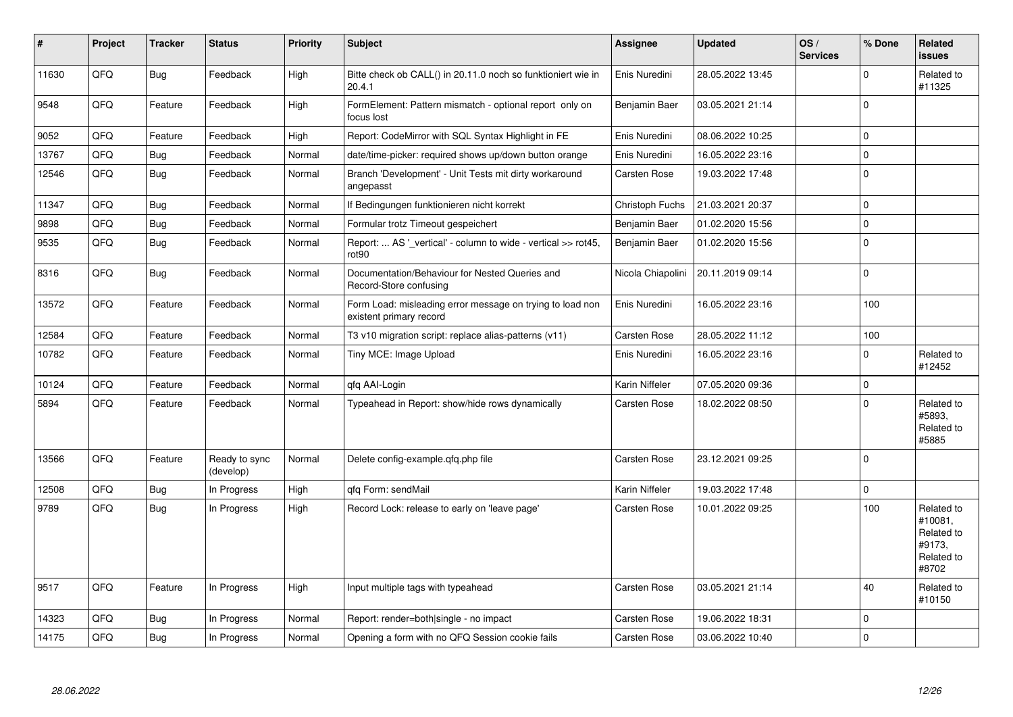| #     | Project | <b>Tracker</b> | <b>Status</b>              | <b>Priority</b> | <b>Subject</b>                                                                       | Assignee            | <b>Updated</b>   | OS/<br><b>Services</b> | % Done       | Related<br><b>issues</b>                                             |
|-------|---------|----------------|----------------------------|-----------------|--------------------------------------------------------------------------------------|---------------------|------------------|------------------------|--------------|----------------------------------------------------------------------|
| 11630 | QFQ     | Bug            | Feedback                   | High            | Bitte check ob CALL() in 20.11.0 noch so funktioniert wie in<br>20.4.1               | Enis Nuredini       | 28.05.2022 13:45 |                        | 0            | Related to<br>#11325                                                 |
| 9548  | QFQ     | Feature        | Feedback                   | High            | FormElement: Pattern mismatch - optional report only on<br>focus lost                | Benjamin Baer       | 03.05.2021 21:14 |                        | $\Omega$     |                                                                      |
| 9052  | QFQ     | Feature        | Feedback                   | High            | Report: CodeMirror with SQL Syntax Highlight in FE                                   | Enis Nuredini       | 08.06.2022 10:25 |                        | $\Omega$     |                                                                      |
| 13767 | QFQ     | <b>Bug</b>     | Feedback                   | Normal          | date/time-picker: required shows up/down button orange                               | Enis Nuredini       | 16.05.2022 23:16 |                        | $\Omega$     |                                                                      |
| 12546 | QFQ     | <b>Bug</b>     | Feedback                   | Normal          | Branch 'Development' - Unit Tests mit dirty workaround<br>angepasst                  | Carsten Rose        | 19.03.2022 17:48 |                        | $\Omega$     |                                                                      |
| 11347 | QFQ     | Bug            | Feedback                   | Normal          | If Bedingungen funktionieren nicht korrekt                                           | Christoph Fuchs     | 21.03.2021 20:37 |                        | $\Omega$     |                                                                      |
| 9898  | QFQ     | Bug            | Feedback                   | Normal          | Formular trotz Timeout gespeichert                                                   | Benjamin Baer       | 01.02.2020 15:56 |                        | 0            |                                                                      |
| 9535  | QFQ     | <b>Bug</b>     | Feedback                   | Normal          | Report:  AS ' vertical' - column to wide - vertical >> rot45,<br>rot <sub>90</sub>   | Benjamin Baer       | 01.02.2020 15:56 |                        | $\Omega$     |                                                                      |
| 8316  | QFQ     | <b>Bug</b>     | Feedback                   | Normal          | Documentation/Behaviour for Nested Queries and<br>Record-Store confusing             | Nicola Chiapolini   | 20.11.2019 09:14 |                        | $\Omega$     |                                                                      |
| 13572 | QFQ     | Feature        | Feedback                   | Normal          | Form Load: misleading error message on trying to load non<br>existent primary record | Enis Nuredini       | 16.05.2022 23:16 |                        | 100          |                                                                      |
| 12584 | QFQ     | Feature        | Feedback                   | Normal          | T3 v10 migration script: replace alias-patterns (v11)                                | <b>Carsten Rose</b> | 28.05.2022 11:12 |                        | 100          |                                                                      |
| 10782 | QFQ     | Feature        | Feedback                   | Normal          | Tiny MCE: Image Upload                                                               | Enis Nuredini       | 16.05.2022 23:16 |                        | 0            | Related to<br>#12452                                                 |
| 10124 | QFQ     | Feature        | Feedback                   | Normal          | qfq AAI-Login                                                                        | Karin Niffeler      | 07.05.2020 09:36 |                        | $\mathbf 0$  |                                                                      |
| 5894  | QFQ     | Feature        | Feedback                   | Normal          | Typeahead in Report: show/hide rows dynamically                                      | Carsten Rose        | 18.02.2022 08:50 |                        | <sup>0</sup> | Related to<br>#5893.<br>Related to<br>#5885                          |
| 13566 | QFQ     | Feature        | Ready to sync<br>(develop) | Normal          | Delete config-example.qfq.php file                                                   | <b>Carsten Rose</b> | 23.12.2021 09:25 |                        | $\Omega$     |                                                                      |
| 12508 | QFQ     | Bug            | In Progress                | High            | gfg Form: sendMail                                                                   | Karin Niffeler      | 19.03.2022 17:48 |                        | $\Omega$     |                                                                      |
| 9789  | QFQ     | Bug            | In Progress                | High            | Record Lock: release to early on 'leave page'                                        | Carsten Rose        | 10.01.2022 09:25 |                        | 100          | Related to<br>#10081.<br>Related to<br>#9173.<br>Related to<br>#8702 |
| 9517  | QFQ     | Feature        | In Progress                | High            | Input multiple tags with typeahead                                                   | <b>Carsten Rose</b> | 03.05.2021 21:14 |                        | 40           | Related to<br>#10150                                                 |
| 14323 | QFQ     | <b>Bug</b>     | In Progress                | Normal          | Report: render=both single - no impact                                               | Carsten Rose        | 19.06.2022 18:31 |                        | 0            |                                                                      |
| 14175 | QFQ     | Bug            | In Progress                | Normal          | Opening a form with no QFQ Session cookie fails                                      | <b>Carsten Rose</b> | 03.06.2022 10:40 |                        | $\Omega$     |                                                                      |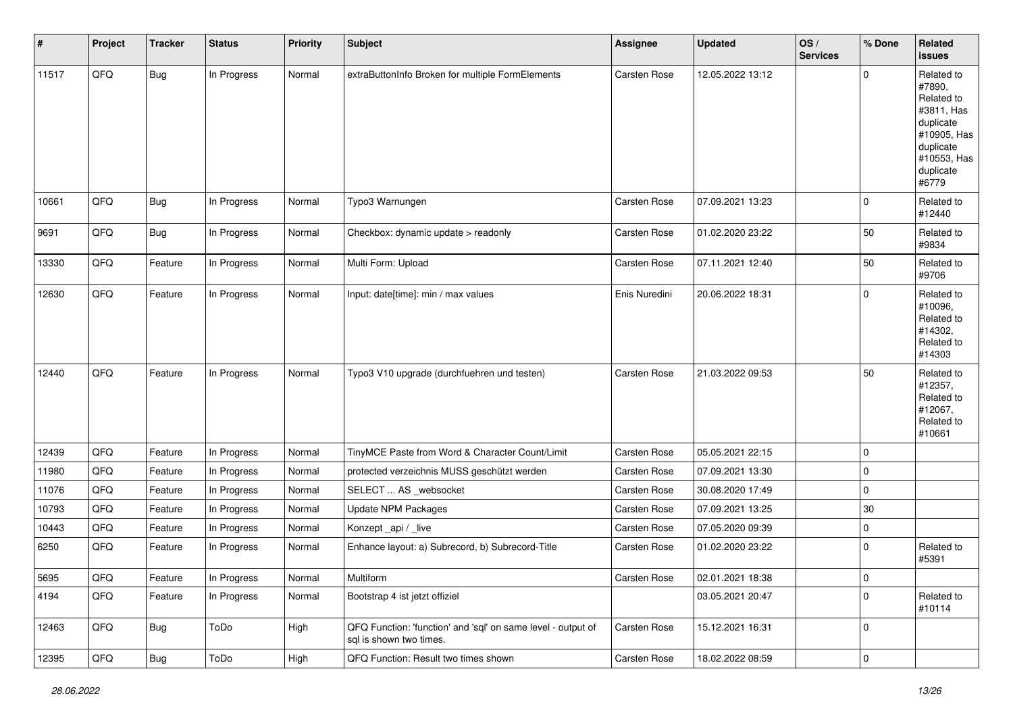| $\vert$ # | Project | <b>Tracker</b> | <b>Status</b> | <b>Priority</b> | <b>Subject</b>                                                                          | <b>Assignee</b>     | <b>Updated</b>   | OS/<br><b>Services</b> | % Done      | Related<br><b>issues</b>                                                                                                       |
|-----------|---------|----------------|---------------|-----------------|-----------------------------------------------------------------------------------------|---------------------|------------------|------------------------|-------------|--------------------------------------------------------------------------------------------------------------------------------|
| 11517     | QFQ     | <b>Bug</b>     | In Progress   | Normal          | extraButtonInfo Broken for multiple FormElements                                        | Carsten Rose        | 12.05.2022 13:12 |                        | $\Omega$    | Related to<br>#7890,<br>Related to<br>#3811, Has<br>duplicate<br>#10905, Has<br>duplicate<br>#10553, Has<br>duplicate<br>#6779 |
| 10661     | QFQ     | <b>Bug</b>     | In Progress   | Normal          | Typo3 Warnungen                                                                         | Carsten Rose        | 07.09.2021 13:23 |                        | $\Omega$    | Related to<br>#12440                                                                                                           |
| 9691      | QFQ     | <b>Bug</b>     | In Progress   | Normal          | Checkbox: dynamic update > readonly                                                     | Carsten Rose        | 01.02.2020 23:22 |                        | 50          | Related to<br>#9834                                                                                                            |
| 13330     | QFQ     | Feature        | In Progress   | Normal          | Multi Form: Upload                                                                      | <b>Carsten Rose</b> | 07.11.2021 12:40 |                        | 50          | Related to<br>#9706                                                                                                            |
| 12630     | QFQ     | Feature        | In Progress   | Normal          | Input: date[time]: min / max values                                                     | Enis Nuredini       | 20.06.2022 18:31 |                        | $\Omega$    | Related to<br>#10096,<br>Related to<br>#14302,<br>Related to<br>#14303                                                         |
| 12440     | QFQ     | Feature        | In Progress   | Normal          | Typo3 V10 upgrade (durchfuehren und testen)                                             | <b>Carsten Rose</b> | 21.03.2022 09:53 |                        | 50          | Related to<br>#12357,<br>Related to<br>#12067,<br>Related to<br>#10661                                                         |
| 12439     | QFQ     | Feature        | In Progress   | Normal          | TinyMCE Paste from Word & Character Count/Limit                                         | Carsten Rose        | 05.05.2021 22:15 |                        | $\Omega$    |                                                                                                                                |
| 11980     | QFQ     | Feature        | In Progress   | Normal          | protected verzeichnis MUSS geschützt werden                                             | Carsten Rose        | 07.09.2021 13:30 |                        | $\mathbf 0$ |                                                                                                                                |
| 11076     | QFQ     | Feature        | In Progress   | Normal          | SELECT  AS _websocket                                                                   | Carsten Rose        | 30.08.2020 17:49 |                        | $\mathbf 0$ |                                                                                                                                |
| 10793     | QFQ     | Feature        | In Progress   | Normal          | Update NPM Packages                                                                     | Carsten Rose        | 07.09.2021 13:25 |                        | $30\,$      |                                                                                                                                |
| 10443     | QFQ     | Feature        | In Progress   | Normal          | Konzept_api / _live                                                                     | Carsten Rose        | 07.05.2020 09:39 |                        | 0           |                                                                                                                                |
| 6250      | QFQ     | Feature        | In Progress   | Normal          | Enhance layout: a) Subrecord, b) Subrecord-Title                                        | <b>Carsten Rose</b> | 01.02.2020 23:22 |                        | $\Omega$    | Related to<br>#5391                                                                                                            |
| 5695      | QFQ     | Feature        | In Progress   | Normal          | Multiform                                                                               | Carsten Rose        | 02.01.2021 18:38 |                        | 0           |                                                                                                                                |
| 4194      | QFQ     | Feature        | In Progress   | Normal          | Bootstrap 4 ist jetzt offiziel                                                          |                     | 03.05.2021 20:47 |                        | $\mathbf 0$ | Related to<br>#10114                                                                                                           |
| 12463     | QFG     | <b>Bug</b>     | ToDo          | High            | QFQ Function: 'function' and 'sql' on same level - output of<br>sql is shown two times. | Carsten Rose        | 15.12.2021 16:31 |                        | $\mathbf 0$ |                                                                                                                                |
| 12395     | QFQ     | Bug            | ToDo          | High            | QFQ Function: Result two times shown                                                    | Carsten Rose        | 18.02.2022 08:59 |                        | $\mathbf 0$ |                                                                                                                                |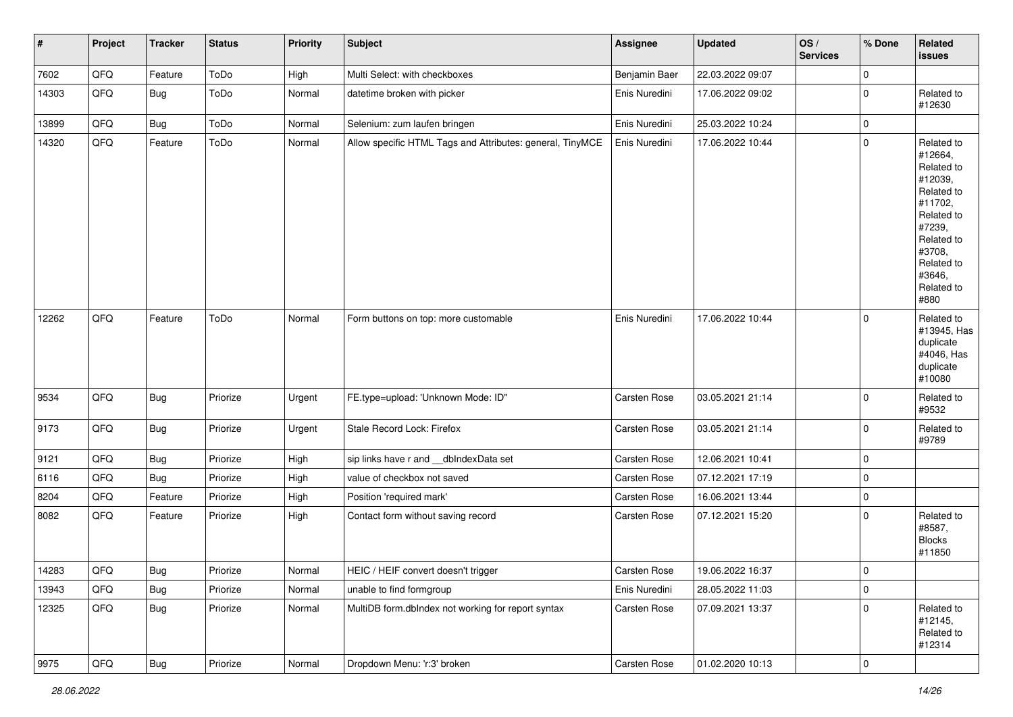| $\vert$ # | Project        | <b>Tracker</b> | <b>Status</b> | <b>Priority</b> | <b>Subject</b>                                            | Assignee      | <b>Updated</b>   | OS/<br><b>Services</b> | % Done      | Related<br><b>issues</b>                                                                                                                                              |
|-----------|----------------|----------------|---------------|-----------------|-----------------------------------------------------------|---------------|------------------|------------------------|-------------|-----------------------------------------------------------------------------------------------------------------------------------------------------------------------|
| 7602      | QFQ            | Feature        | ToDo          | High            | Multi Select: with checkboxes                             | Benjamin Baer | 22.03.2022 09:07 |                        | $\mathbf 0$ |                                                                                                                                                                       |
| 14303     | QFQ            | <b>Bug</b>     | ToDo          | Normal          | datetime broken with picker                               | Enis Nuredini | 17.06.2022 09:02 |                        | 0           | Related to<br>#12630                                                                                                                                                  |
| 13899     | QFQ            | Bug            | ToDo          | Normal          | Selenium: zum laufen bringen                              | Enis Nuredini | 25.03.2022 10:24 |                        | $\mathbf 0$ |                                                                                                                                                                       |
| 14320     | QFQ            | Feature        | ToDo          | Normal          | Allow specific HTML Tags and Attributes: general, TinyMCE | Enis Nuredini | 17.06.2022 10:44 |                        | $\Omega$    | Related to<br>#12664,<br>Related to<br>#12039,<br>Related to<br>#11702,<br>Related to<br>#7239,<br>Related to<br>#3708,<br>Related to<br>#3646,<br>Related to<br>#880 |
| 12262     | QFQ            | Feature        | ToDo          | Normal          | Form buttons on top: more customable                      | Enis Nuredini | 17.06.2022 10:44 |                        | $\mathbf 0$ | Related to<br>#13945, Has<br>duplicate<br>#4046, Has<br>duplicate<br>#10080                                                                                           |
| 9534      | QFQ            | Bug            | Priorize      | Urgent          | FE.type=upload: 'Unknown Mode: ID"                        | Carsten Rose  | 03.05.2021 21:14 |                        | $\mathbf 0$ | Related to<br>#9532                                                                                                                                                   |
| 9173      | QFQ            | <b>Bug</b>     | Priorize      | Urgent          | Stale Record Lock: Firefox                                | Carsten Rose  | 03.05.2021 21:14 |                        | $\mathbf 0$ | Related to<br>#9789                                                                                                                                                   |
| 9121      | QFQ            | <b>Bug</b>     | Priorize      | High            | sip links have r and __dbIndexData set                    | Carsten Rose  | 12.06.2021 10:41 |                        | $\mathbf 0$ |                                                                                                                                                                       |
| 6116      | QFQ            | Bug            | Priorize      | High            | value of checkbox not saved                               | Carsten Rose  | 07.12.2021 17:19 |                        | $\pmb{0}$   |                                                                                                                                                                       |
| 8204      | QFQ            | Feature        | Priorize      | High            | Position 'required mark'                                  | Carsten Rose  | 16.06.2021 13:44 |                        | $\mathbf 0$ |                                                                                                                                                                       |
| 8082      | QFQ            | Feature        | Priorize      | High            | Contact form without saving record                        | Carsten Rose  | 07.12.2021 15:20 |                        | $\mathbf 0$ | Related to<br>#8587,<br><b>Blocks</b><br>#11850                                                                                                                       |
| 14283     | QFQ            | Bug            | Priorize      | Normal          | HEIC / HEIF convert doesn't trigger                       | Carsten Rose  | 19.06.2022 16:37 |                        | $\mathbf 0$ |                                                                                                                                                                       |
| 13943     | QFQ            | <b>Bug</b>     | Priorize      | Normal          | unable to find formgroup                                  | Enis Nuredini | 28.05.2022 11:03 |                        | $\pmb{0}$   |                                                                                                                                                                       |
| 12325     | QFQ            | <b>Bug</b>     | Priorize      | Normal          | MultiDB form.dblndex not working for report syntax        | Carsten Rose  | 07.09.2021 13:37 |                        | $\Omega$    | Related to<br>#12145,<br>Related to<br>#12314                                                                                                                         |
| 9975      | $\mathsf{QFQ}$ | <b>Bug</b>     | Priorize      | Normal          | Dropdown Menu: 'r:3' broken                               | Carsten Rose  | 01.02.2020 10:13 |                        | $\pmb{0}$   |                                                                                                                                                                       |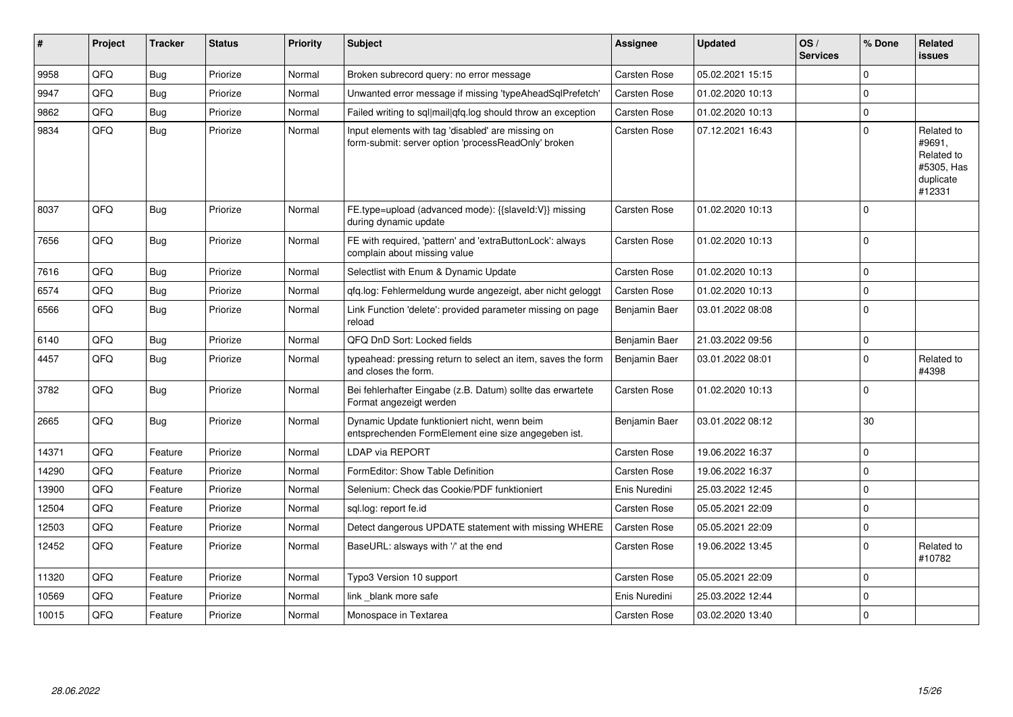| ∦     | Project | <b>Tracker</b> | <b>Status</b> | Priority | <b>Subject</b>                                                                                           | <b>Assignee</b>     | <b>Updated</b>   | OS/<br><b>Services</b> | % Done      | Related<br><b>issues</b>                                                |
|-------|---------|----------------|---------------|----------|----------------------------------------------------------------------------------------------------------|---------------------|------------------|------------------------|-------------|-------------------------------------------------------------------------|
| 9958  | QFQ     | <b>Bug</b>     | Priorize      | Normal   | Broken subrecord query: no error message                                                                 | Carsten Rose        | 05.02.2021 15:15 |                        | $\Omega$    |                                                                         |
| 9947  | QFQ     | Bug            | Priorize      | Normal   | Unwanted error message if missing 'typeAheadSqlPrefetch'                                                 | Carsten Rose        | 01.02.2020 10:13 |                        | $\Omega$    |                                                                         |
| 9862  | QFQ     | <b>Bug</b>     | Priorize      | Normal   | Failed writing to sql mail qfq.log should throw an exception                                             | Carsten Rose        | 01.02.2020 10:13 |                        | $\mathbf 0$ |                                                                         |
| 9834  | QFQ     | <b>Bug</b>     | Priorize      | Normal   | Input elements with tag 'disabled' are missing on<br>form-submit: server option 'processReadOnly' broken | Carsten Rose        | 07.12.2021 16:43 |                        | $\Omega$    | Related to<br>#9691,<br>Related to<br>#5305, Has<br>duplicate<br>#12331 |
| 8037  | QFQ     | <b>Bug</b>     | Priorize      | Normal   | FE.type=upload (advanced mode): {{slaveld:V}} missing<br>during dynamic update                           | <b>Carsten Rose</b> | 01.02.2020 10:13 |                        | $\Omega$    |                                                                         |
| 7656  | QFQ     | Bug            | Priorize      | Normal   | FE with required, 'pattern' and 'extraButtonLock': always<br>complain about missing value                | <b>Carsten Rose</b> | 01.02.2020 10:13 |                        | $\Omega$    |                                                                         |
| 7616  | QFQ     | <b>Bug</b>     | Priorize      | Normal   | Selectlist with Enum & Dynamic Update                                                                    | Carsten Rose        | 01.02.2020 10:13 |                        | $\Omega$    |                                                                         |
| 6574  | QFQ     | <b>Bug</b>     | Priorize      | Normal   | gfg.log: Fehlermeldung wurde angezeigt, aber nicht geloggt                                               | Carsten Rose        | 01.02.2020 10:13 |                        | $\mathbf 0$ |                                                                         |
| 6566  | QFQ     | Bug            | Priorize      | Normal   | Link Function 'delete': provided parameter missing on page<br>reload                                     | Benjamin Baer       | 03.01.2022 08:08 |                        | $\Omega$    |                                                                         |
| 6140  | QFQ     | Bug            | Priorize      | Normal   | QFQ DnD Sort: Locked fields                                                                              | Benjamin Baer       | 21.03.2022 09:56 |                        | $\Omega$    |                                                                         |
| 4457  | QFQ     | Bug            | Priorize      | Normal   | typeahead: pressing return to select an item, saves the form<br>and closes the form.                     | Benjamin Baer       | 03.01.2022 08:01 |                        | $\Omega$    | Related to<br>#4398                                                     |
| 3782  | QFQ     | Bug            | Priorize      | Normal   | Bei fehlerhafter Eingabe (z.B. Datum) sollte das erwartete<br>Format angezeigt werden                    | <b>Carsten Rose</b> | 01.02.2020 10:13 |                        | $\Omega$    |                                                                         |
| 2665  | QFQ     | Bug            | Priorize      | Normal   | Dynamic Update funktioniert nicht, wenn beim<br>entsprechenden FormElement eine size angegeben ist.      | Benjamin Baer       | 03.01.2022 08:12 |                        | 30          |                                                                         |
| 14371 | QFQ     | Feature        | Priorize      | Normal   | <b>LDAP via REPORT</b>                                                                                   | <b>Carsten Rose</b> | 19.06.2022 16:37 |                        | $\Omega$    |                                                                         |
| 14290 | QFQ     | Feature        | Priorize      | Normal   | FormEditor: Show Table Definition                                                                        | Carsten Rose        | 19.06.2022 16:37 |                        | $\Omega$    |                                                                         |
| 13900 | QFQ     | Feature        | Priorize      | Normal   | Selenium: Check das Cookie/PDF funktioniert                                                              | Enis Nuredini       | 25.03.2022 12:45 |                        | $\Omega$    |                                                                         |
| 12504 | QFQ     | Feature        | Priorize      | Normal   | sgl.log: report fe.id                                                                                    | <b>Carsten Rose</b> | 05.05.2021 22:09 |                        | $\Omega$    |                                                                         |
| 12503 | QFQ     | Feature        | Priorize      | Normal   | Detect dangerous UPDATE statement with missing WHERE                                                     | <b>Carsten Rose</b> | 05.05.2021 22:09 |                        | $\mathbf 0$ |                                                                         |
| 12452 | QFQ     | Feature        | Priorize      | Normal   | BaseURL: alsways with '/' at the end                                                                     | <b>Carsten Rose</b> | 19.06.2022 13:45 |                        | $\Omega$    | Related to<br>#10782                                                    |
| 11320 | QFQ     | Feature        | Priorize      | Normal   | Typo3 Version 10 support                                                                                 | Carsten Rose        | 05.05.2021 22:09 |                        | $\mathbf 0$ |                                                                         |
| 10569 | QFQ     | Feature        | Priorize      | Normal   | link blank more safe                                                                                     | Enis Nuredini       | 25.03.2022 12:44 |                        | $\Omega$    |                                                                         |
| 10015 | QFQ     | Feature        | Priorize      | Normal   | Monospace in Textarea                                                                                    | Carsten Rose        | 03.02.2020 13:40 |                        | $\mathbf 0$ |                                                                         |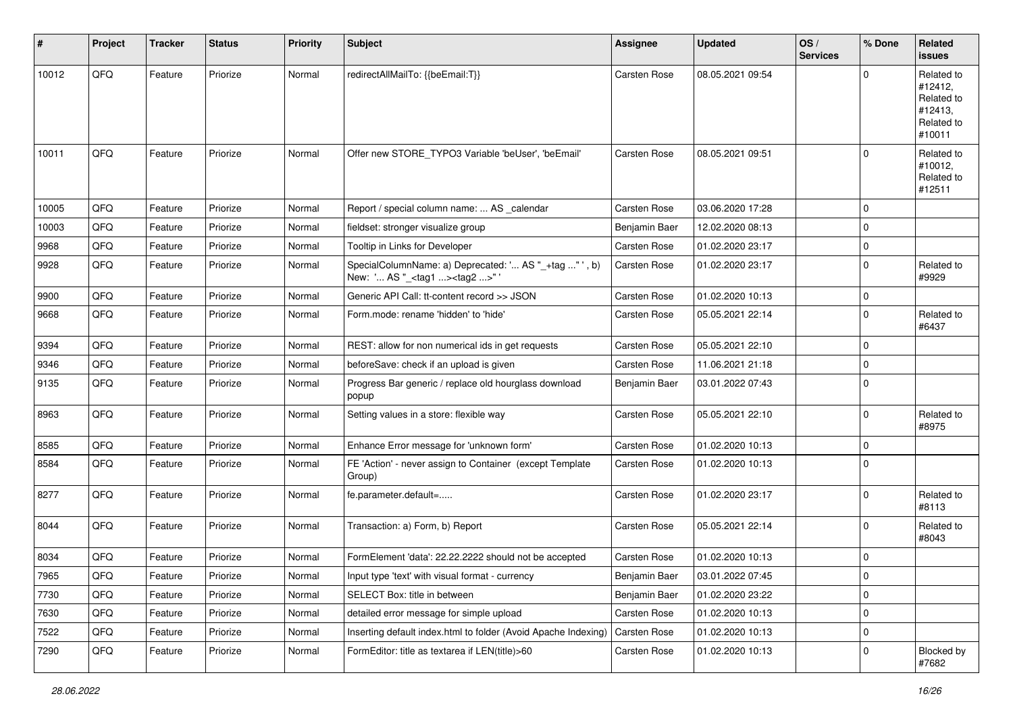| ∦     | Project | <b>Tracker</b> | <b>Status</b> | <b>Priority</b> | <b>Subject</b>                                                                                    | <b>Assignee</b>     | <b>Updated</b>   | OS/<br><b>Services</b> | % Done      | Related<br>issues                                                      |
|-------|---------|----------------|---------------|-----------------|---------------------------------------------------------------------------------------------------|---------------------|------------------|------------------------|-------------|------------------------------------------------------------------------|
| 10012 | QFQ     | Feature        | Priorize      | Normal          | redirectAllMailTo: {{beEmail:T}}                                                                  | <b>Carsten Rose</b> | 08.05.2021 09:54 |                        | $\Omega$    | Related to<br>#12412,<br>Related to<br>#12413,<br>Related to<br>#10011 |
| 10011 | QFQ     | Feature        | Priorize      | Normal          | Offer new STORE_TYPO3 Variable 'beUser', 'beEmail'                                                | <b>Carsten Rose</b> | 08.05.2021 09:51 |                        | $\Omega$    | Related to<br>#10012,<br>Related to<br>#12511                          |
| 10005 | QFQ     | Feature        | Priorize      | Normal          | Report / special column name:  AS _calendar                                                       | <b>Carsten Rose</b> | 03.06.2020 17:28 |                        | $\Omega$    |                                                                        |
| 10003 | QFQ     | Feature        | Priorize      | Normal          | fieldset: stronger visualize group                                                                | Benjamin Baer       | 12.02.2020 08:13 |                        | $\Omega$    |                                                                        |
| 9968  | QFQ     | Feature        | Priorize      | Normal          | Tooltip in Links for Developer                                                                    | <b>Carsten Rose</b> | 01.02.2020 23:17 |                        | 0           |                                                                        |
| 9928  | QFQ     | Feature        | Priorize      | Normal          | SpecialColumnName: a) Deprecated: ' AS "_+tag " ', b)<br>New: ' AS "_ <tag1><tag2>"</tag2></tag1> | Carsten Rose        | 01.02.2020 23:17 |                        | $\Omega$    | Related to<br>#9929                                                    |
| 9900  | QFQ     | Feature        | Priorize      | Normal          | Generic API Call: tt-content record >> JSON                                                       | <b>Carsten Rose</b> | 01.02.2020 10:13 |                        | 0           |                                                                        |
| 9668  | QFQ     | Feature        | Priorize      | Normal          | Form.mode: rename 'hidden' to 'hide'                                                              | Carsten Rose        | 05.05.2021 22:14 |                        | $\Omega$    | Related to<br>#6437                                                    |
| 9394  | QFQ     | Feature        | Priorize      | Normal          | REST: allow for non numerical ids in get requests                                                 | <b>Carsten Rose</b> | 05.05.2021 22:10 |                        | $\Omega$    |                                                                        |
| 9346  | QFQ     | Feature        | Priorize      | Normal          | beforeSave: check if an upload is given                                                           | Carsten Rose        | 11.06.2021 21:18 |                        | $\mathbf 0$ |                                                                        |
| 9135  | QFQ     | Feature        | Priorize      | Normal          | Progress Bar generic / replace old hourglass download<br>popup                                    | Benjamin Baer       | 03.01.2022 07:43 |                        | $\Omega$    |                                                                        |
| 8963  | QFQ     | Feature        | Priorize      | Normal          | Setting values in a store: flexible way                                                           | <b>Carsten Rose</b> | 05.05.2021 22:10 |                        | $\Omega$    | Related to<br>#8975                                                    |
| 8585  | QFQ     | Feature        | Priorize      | Normal          | Enhance Error message for 'unknown form'                                                          | <b>Carsten Rose</b> | 01.02.2020 10:13 |                        | $\Omega$    |                                                                        |
| 8584  | QFQ     | Feature        | Priorize      | Normal          | FE 'Action' - never assign to Container (except Template<br>Group)                                | Carsten Rose        | 01.02.2020 10:13 |                        | 0           |                                                                        |
| 8277  | QFQ     | Feature        | Priorize      | Normal          | fe.parameter.default=                                                                             | Carsten Rose        | 01.02.2020 23:17 |                        | $\Omega$    | Related to<br>#8113                                                    |
| 8044  | QFQ     | Feature        | Priorize      | Normal          | Transaction: a) Form, b) Report                                                                   | <b>Carsten Rose</b> | 05.05.2021 22:14 |                        | $\Omega$    | Related to<br>#8043                                                    |
| 8034  | QFQ     | Feature        | Priorize      | Normal          | FormElement 'data': 22.22.2222 should not be accepted                                             | Carsten Rose        | 01.02.2020 10:13 |                        | $\Omega$    |                                                                        |
| 7965  | QFG     | Feature        | Priorize      | Normal          | Input type 'text' with visual format - currency                                                   | Benjamin Baer       | 03.01.2022 07:45 |                        | O           |                                                                        |
| 7730  | QFQ     | Feature        | Priorize      | Normal          | SELECT Box: title in between                                                                      | Benjamin Baer       | 01.02.2020 23:22 |                        | $\mathbf 0$ |                                                                        |
| 7630  | QFQ     | Feature        | Priorize      | Normal          | detailed error message for simple upload                                                          | Carsten Rose        | 01.02.2020 10:13 |                        | 0           |                                                                        |
| 7522  | QFQ     | Feature        | Priorize      | Normal          | Inserting default index.html to folder (Avoid Apache Indexing)                                    | <b>Carsten Rose</b> | 01.02.2020 10:13 |                        | 0           |                                                                        |
| 7290  | QFQ     | Feature        | Priorize      | Normal          | FormEditor: title as textarea if LEN(title)>60                                                    | Carsten Rose        | 01.02.2020 10:13 |                        | 0           | Blocked by<br>#7682                                                    |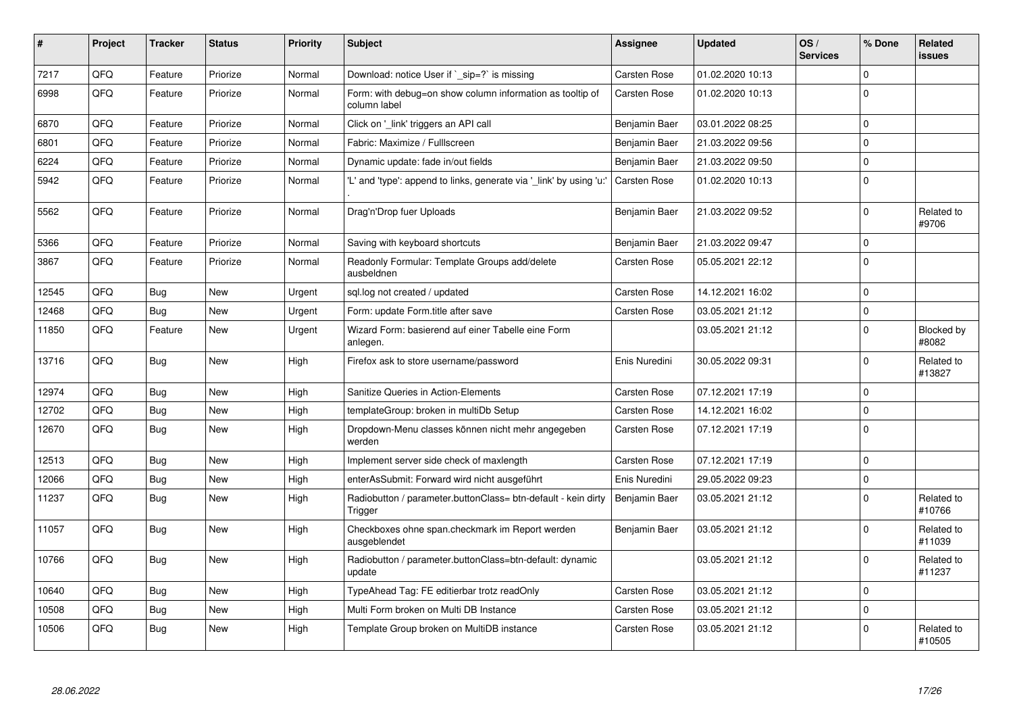| #     | Project | <b>Tracker</b> | <b>Status</b> | <b>Priority</b> | <b>Subject</b>                                                            | Assignee            | <b>Updated</b>   | OS/<br><b>Services</b> | % Done      | Related<br>issues    |
|-------|---------|----------------|---------------|-----------------|---------------------------------------------------------------------------|---------------------|------------------|------------------------|-------------|----------------------|
| 7217  | QFQ     | Feature        | Priorize      | Normal          | Download: notice User if `_sip=?` is missing                              | <b>Carsten Rose</b> | 01.02.2020 10:13 |                        | $\Omega$    |                      |
| 6998  | QFQ     | Feature        | Priorize      | Normal          | Form: with debug=on show column information as tooltip of<br>column label | Carsten Rose        | 01.02.2020 10:13 |                        | $\Omega$    |                      |
| 6870  | QFQ     | Feature        | Priorize      | Normal          | Click on '_link' triggers an API call                                     | Benjamin Baer       | 03.01.2022 08:25 |                        | $\Omega$    |                      |
| 6801  | QFQ     | Feature        | Priorize      | Normal          | Fabric: Maximize / Fulllscreen                                            | Benjamin Baer       | 21.03.2022 09:56 |                        | 0           |                      |
| 6224  | QFQ     | Feature        | Priorize      | Normal          | Dynamic update: fade in/out fields                                        | Benjamin Baer       | 21.03.2022 09:50 |                        | $\mathbf 0$ |                      |
| 5942  | QFQ     | Feature        | Priorize      | Normal          | 'L' and 'type': append to links, generate via '_link' by using 'u:'       | <b>Carsten Rose</b> | 01.02.2020 10:13 |                        | $\Omega$    |                      |
| 5562  | QFQ     | Feature        | Priorize      | Normal          | Drag'n'Drop fuer Uploads                                                  | Benjamin Baer       | 21.03.2022 09:52 |                        | $\Omega$    | Related to<br>#9706  |
| 5366  | QFQ     | Feature        | Priorize      | Normal          | Saving with keyboard shortcuts                                            | Benjamin Baer       | 21.03.2022 09:47 |                        | 0           |                      |
| 3867  | QFQ     | Feature        | Priorize      | Normal          | Readonly Formular: Template Groups add/delete<br>ausbeldnen               | Carsten Rose        | 05.05.2021 22:12 |                        | $\Omega$    |                      |
| 12545 | QFQ     | <b>Bug</b>     | <b>New</b>    | Urgent          | sql.log not created / updated                                             | <b>Carsten Rose</b> | 14.12.2021 16:02 |                        | $\mathbf 0$ |                      |
| 12468 | QFQ     | Bug            | <b>New</b>    | Urgent          | Form: update Form.title after save                                        | Carsten Rose        | 03.05.2021 21:12 |                        | $\Omega$    |                      |
| 11850 | QFQ     | Feature        | <b>New</b>    | Urgent          | Wizard Form: basierend auf einer Tabelle eine Form<br>anlegen.            |                     | 03.05.2021 21:12 |                        | $\Omega$    | Blocked by<br>#8082  |
| 13716 | QFQ     | Bug            | <b>New</b>    | High            | Firefox ask to store username/password                                    | Enis Nuredini       | 30.05.2022 09:31 |                        | $\Omega$    | Related to<br>#13827 |
| 12974 | QFQ     | Bug            | <b>New</b>    | High            | Sanitize Queries in Action-Elements                                       | <b>Carsten Rose</b> | 07.12.2021 17:19 |                        | $\Omega$    |                      |
| 12702 | QFQ     | <b>Bug</b>     | <b>New</b>    | High            | templateGroup: broken in multiDb Setup                                    | Carsten Rose        | 14.12.2021 16:02 |                        | $\Omega$    |                      |
| 12670 | QFQ     | <b>Bug</b>     | <b>New</b>    | High            | Dropdown-Menu classes können nicht mehr angegeben<br>werden               | Carsten Rose        | 07.12.2021 17:19 |                        | $\Omega$    |                      |
| 12513 | QFQ     | <b>Bug</b>     | <b>New</b>    | High            | Implement server side check of maxlength                                  | Carsten Rose        | 07.12.2021 17:19 |                        | $\Omega$    |                      |
| 12066 | QFQ     | <b>Bug</b>     | <b>New</b>    | High            | enterAsSubmit: Forward wird nicht ausgeführt                              | Enis Nuredini       | 29.05.2022 09:23 |                        | $\Omega$    |                      |
| 11237 | QFQ     | Bug            | <b>New</b>    | High            | Radiobutton / parameter.buttonClass= btn-default - kein dirty<br>Trigger  | Benjamin Baer       | 03.05.2021 21:12 |                        | $\Omega$    | Related to<br>#10766 |
| 11057 | QFQ     | <b>Bug</b>     | <b>New</b>    | High            | Checkboxes ohne span.checkmark im Report werden<br>ausgeblendet           | Benjamin Baer       | 03.05.2021 21:12 |                        | $\Omega$    | Related to<br>#11039 |
| 10766 | QFQ     | <b>Bug</b>     | <b>New</b>    | High            | Radiobutton / parameter.buttonClass=btn-default: dynamic<br>update        |                     | 03.05.2021 21:12 |                        | $\Omega$    | Related to<br>#11237 |
| 10640 | QFQ     | Bug            | <b>New</b>    | High            | TypeAhead Tag: FE editierbar trotz readOnly                               | Carsten Rose        | 03.05.2021 21:12 |                        | $\Omega$    |                      |
| 10508 | QFQ     | <b>Bug</b>     | <b>New</b>    | High            | Multi Form broken on Multi DB Instance                                    | <b>Carsten Rose</b> | 03.05.2021 21:12 |                        | $\Omega$    |                      |
| 10506 | QFQ     | <b>Bug</b>     | <b>New</b>    | High            | Template Group broken on MultiDB instance                                 | <b>Carsten Rose</b> | 03.05.2021 21:12 |                        | $\Omega$    | Related to<br>#10505 |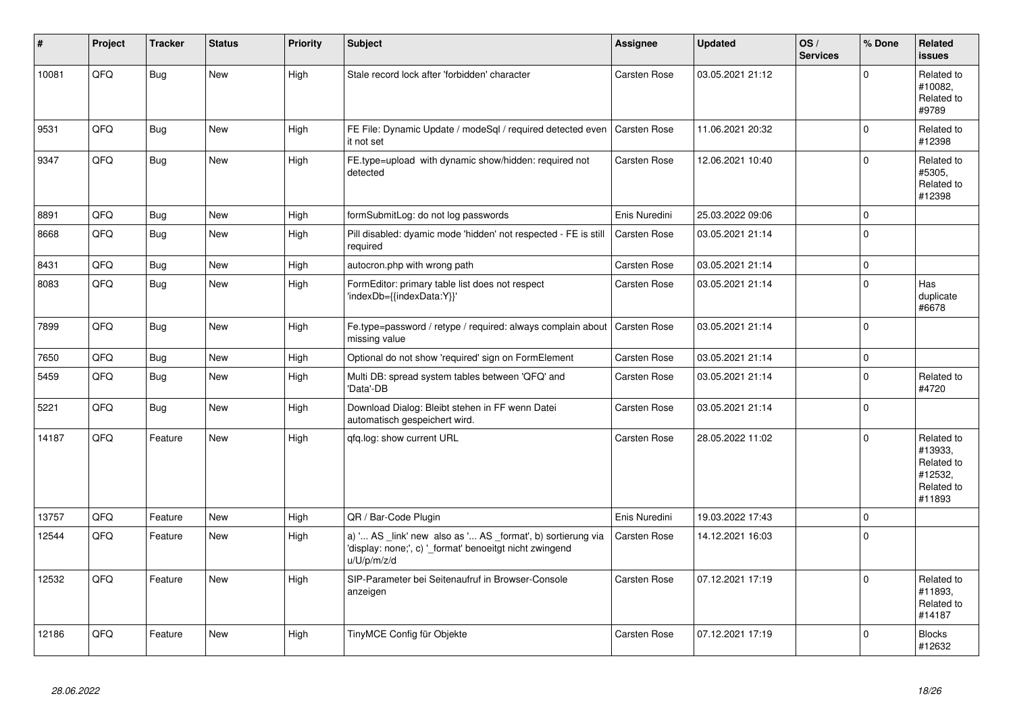| #     | Project | <b>Tracker</b> | <b>Status</b> | <b>Priority</b> | <b>Subject</b>                                                                                                                        | Assignee            | <b>Updated</b>   | OS/<br><b>Services</b> | % Done      | Related<br><b>issues</b>                                               |
|-------|---------|----------------|---------------|-----------------|---------------------------------------------------------------------------------------------------------------------------------------|---------------------|------------------|------------------------|-------------|------------------------------------------------------------------------|
| 10081 | QFQ     | Bug            | <b>New</b>    | High            | Stale record lock after 'forbidden' character                                                                                         | <b>Carsten Rose</b> | 03.05.2021 21:12 |                        | $\Omega$    | Related to<br>#10082,<br>Related to<br>#9789                           |
| 9531  | QFQ     | <b>Bug</b>     | New           | High            | FE File: Dynamic Update / modeSql / required detected even<br>it not set                                                              | <b>Carsten Rose</b> | 11.06.2021 20:32 |                        | $\mathbf 0$ | Related to<br>#12398                                                   |
| 9347  | QFQ     | Bug            | New           | High            | FE.type=upload with dynamic show/hidden: required not<br>detected                                                                     | <b>Carsten Rose</b> | 12.06.2021 10:40 |                        | $\Omega$    | Related to<br>#5305,<br>Related to<br>#12398                           |
| 8891  | QFQ     | Bug            | <b>New</b>    | High            | formSubmitLog: do not log passwords                                                                                                   | Enis Nuredini       | 25.03.2022 09:06 |                        | $\mathbf 0$ |                                                                        |
| 8668  | QFQ     | Bug            | <b>New</b>    | High            | Pill disabled: dyamic mode 'hidden' not respected - FE is still<br>required                                                           | <b>Carsten Rose</b> | 03.05.2021 21:14 |                        | $\Omega$    |                                                                        |
| 8431  | QFQ     | <b>Bug</b>     | <b>New</b>    | High            | autocron.php with wrong path                                                                                                          | <b>Carsten Rose</b> | 03.05.2021 21:14 |                        | $\mathbf 0$ |                                                                        |
| 8083  | QFQ     | Bug            | <b>New</b>    | High            | FormEditor: primary table list does not respect<br>'indexDb={{indexData:Y}}'                                                          | <b>Carsten Rose</b> | 03.05.2021 21:14 |                        | $\Omega$    | Has<br>duplicate<br>#6678                                              |
| 7899  | QFQ     | Bug            | <b>New</b>    | High            | Fe.type=password / retype / required: always complain about<br>missing value                                                          | <b>Carsten Rose</b> | 03.05.2021 21:14 |                        | $\mathbf 0$ |                                                                        |
| 7650  | QFQ     | Bug            | New           | High            | Optional do not show 'required' sign on FormElement                                                                                   | <b>Carsten Rose</b> | 03.05.2021 21:14 |                        | $\mathbf 0$ |                                                                        |
| 5459  | QFQ     | Bug            | <b>New</b>    | High            | Multi DB: spread system tables between 'QFQ' and<br>'Data'-DB                                                                         | <b>Carsten Rose</b> | 03.05.2021 21:14 |                        | $\Omega$    | Related to<br>#4720                                                    |
| 5221  | QFQ     | Bug            | <b>New</b>    | High            | Download Dialog: Bleibt stehen in FF wenn Datei<br>automatisch gespeichert wird.                                                      | <b>Carsten Rose</b> | 03.05.2021 21:14 |                        | $\Omega$    |                                                                        |
| 14187 | QFQ     | Feature        | New           | High            | gfg.log: show current URL                                                                                                             | <b>Carsten Rose</b> | 28.05.2022 11:02 |                        | $\Omega$    | Related to<br>#13933,<br>Related to<br>#12532,<br>Related to<br>#11893 |
| 13757 | QFQ     | Feature        | New           | High            | QR / Bar-Code Plugin                                                                                                                  | Enis Nuredini       | 19.03.2022 17:43 |                        | $\mathbf 0$ |                                                                        |
| 12544 | QFQ     | Feature        | <b>New</b>    | High            | a) ' AS _link' new also as ' AS _format', b) sortierung via<br>'display: none;', c) ' format' benoeitgt nicht zwingend<br>u/U/p/m/z/d | Carsten Rose        | 14.12.2021 16:03 |                        | $\Omega$    |                                                                        |
| 12532 | QFQ     | Feature        | New           | High            | SIP-Parameter bei Seitenaufruf in Browser-Console<br>anzeigen                                                                         | Carsten Rose        | 07.12.2021 17:19 |                        | $\mathbf 0$ | Related to<br>#11893.<br>Related to<br>#14187                          |
| 12186 | QFQ     | Feature        | New           | High            | TinyMCE Config für Objekte                                                                                                            | Carsten Rose        | 07.12.2021 17:19 |                        | $\Omega$    | <b>Blocks</b><br>#12632                                                |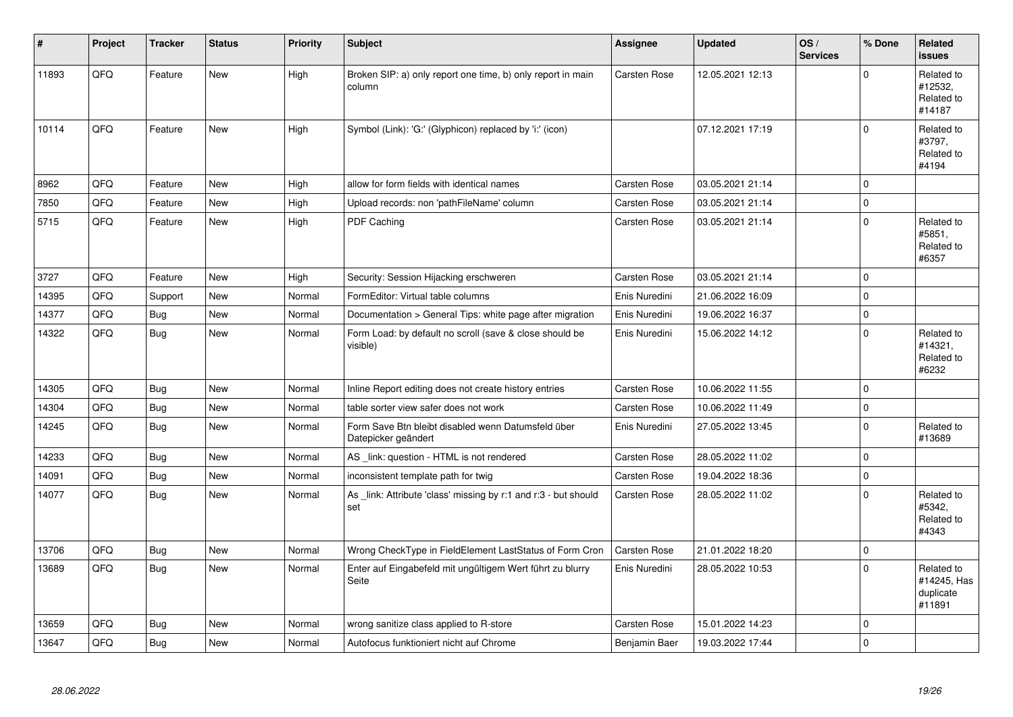| #     | Project | <b>Tracker</b> | <b>Status</b> | <b>Priority</b> | <b>Subject</b>                                                            | <b>Assignee</b>     | <b>Updated</b>   | OS/<br><b>Services</b> | % Done         | Related<br><b>issues</b>                         |
|-------|---------|----------------|---------------|-----------------|---------------------------------------------------------------------------|---------------------|------------------|------------------------|----------------|--------------------------------------------------|
| 11893 | QFQ     | Feature        | <b>New</b>    | High            | Broken SIP: a) only report one time, b) only report in main<br>column     | <b>Carsten Rose</b> | 12.05.2021 12:13 |                        | $\Omega$       | Related to<br>#12532,<br>Related to<br>#14187    |
| 10114 | QFQ     | Feature        | <b>New</b>    | High            | Symbol (Link): 'G:' (Glyphicon) replaced by 'i:' (icon)                   |                     | 07.12.2021 17:19 |                        | $\Omega$       | Related to<br>#3797,<br>Related to<br>#4194      |
| 8962  | QFQ     | Feature        | New           | High            | allow for form fields with identical names                                | Carsten Rose        | 03.05.2021 21:14 |                        | $\Omega$       |                                                  |
| 7850  | QFQ     | Feature        | <b>New</b>    | High            | Upload records: non 'pathFileName' column                                 | <b>Carsten Rose</b> | 03.05.2021 21:14 |                        | $\mathbf 0$    |                                                  |
| 5715  | QFQ     | Feature        | New           | High            | PDF Caching                                                               | Carsten Rose        | 03.05.2021 21:14 |                        | $\Omega$       | Related to<br>#5851,<br>Related to<br>#6357      |
| 3727  | QFQ     | Feature        | <b>New</b>    | High            | Security: Session Hijacking erschweren                                    | <b>Carsten Rose</b> | 03.05.2021 21:14 |                        | $\Omega$       |                                                  |
| 14395 | QFQ     | Support        | <b>New</b>    | Normal          | FormEditor: Virtual table columns                                         | Enis Nuredini       | 21.06.2022 16:09 |                        | $\Omega$       |                                                  |
| 14377 | QFQ     | Bug            | New           | Normal          | Documentation > General Tips: white page after migration                  | Enis Nuredini       | 19.06.2022 16:37 |                        | 0              |                                                  |
| 14322 | QFQ     | <b>Bug</b>     | <b>New</b>    | Normal          | Form Load: by default no scroll (save & close should be<br>visible)       | Enis Nuredini       | 15.06.2022 14:12 |                        | $\Omega$       | Related to<br>#14321,<br>Related to<br>#6232     |
| 14305 | QFQ     | Bug            | <b>New</b>    | Normal          | Inline Report editing does not create history entries                     | <b>Carsten Rose</b> | 10.06.2022 11:55 |                        | 0              |                                                  |
| 14304 | QFQ     | <b>Bug</b>     | <b>New</b>    | Normal          | table sorter view safer does not work                                     | Carsten Rose        | 10.06.2022 11:49 |                        | $\Omega$       |                                                  |
| 14245 | QFQ     | <b>Bug</b>     | New           | Normal          | Form Save Btn bleibt disabled wenn Datumsfeld über<br>Datepicker geändert | Enis Nuredini       | 27.05.2022 13:45 |                        | $\overline{0}$ | Related to<br>#13689                             |
| 14233 | QFQ     | <b>Bug</b>     | <b>New</b>    | Normal          | AS _link: question - HTML is not rendered                                 | Carsten Rose        | 28.05.2022 11:02 |                        | $\Omega$       |                                                  |
| 14091 | QFQ     | <b>Bug</b>     | New           | Normal          | inconsistent template path for twig                                       | <b>Carsten Rose</b> | 19.04.2022 18:36 |                        | $\mathbf 0$    |                                                  |
| 14077 | QFQ     | <b>Bug</b>     | <b>New</b>    | Normal          | As _link: Attribute 'class' missing by r:1 and r:3 - but should<br>set    | <b>Carsten Rose</b> | 28.05.2022 11:02 |                        | $\Omega$       | Related to<br>#5342,<br>Related to<br>#4343      |
| 13706 | QFQ     | <b>Bug</b>     | New           | Normal          | Wrong CheckType in FieldElement LastStatus of Form Cron                   | <b>Carsten Rose</b> | 21.01.2022 18:20 |                        | $\mathbf 0$    |                                                  |
| 13689 | QFQ     | Bug            | <b>New</b>    | Normal          | Enter auf Eingabefeld mit ungültigem Wert führt zu blurry<br>Seite        | Enis Nuredini       | 28.05.2022 10:53 |                        | $\Omega$       | Related to<br>#14245, Has<br>duplicate<br>#11891 |
| 13659 | QFQ     | <b>Bug</b>     | <b>New</b>    | Normal          | wrong sanitize class applied to R-store                                   | Carsten Rose        | 15.01.2022 14:23 |                        | $\mathbf 0$    |                                                  |
| 13647 | QFQ     | <b>Bug</b>     | New           | Normal          | Autofocus funktioniert nicht auf Chrome                                   | Benjamin Baer       | 19.03.2022 17:44 |                        | $\Omega$       |                                                  |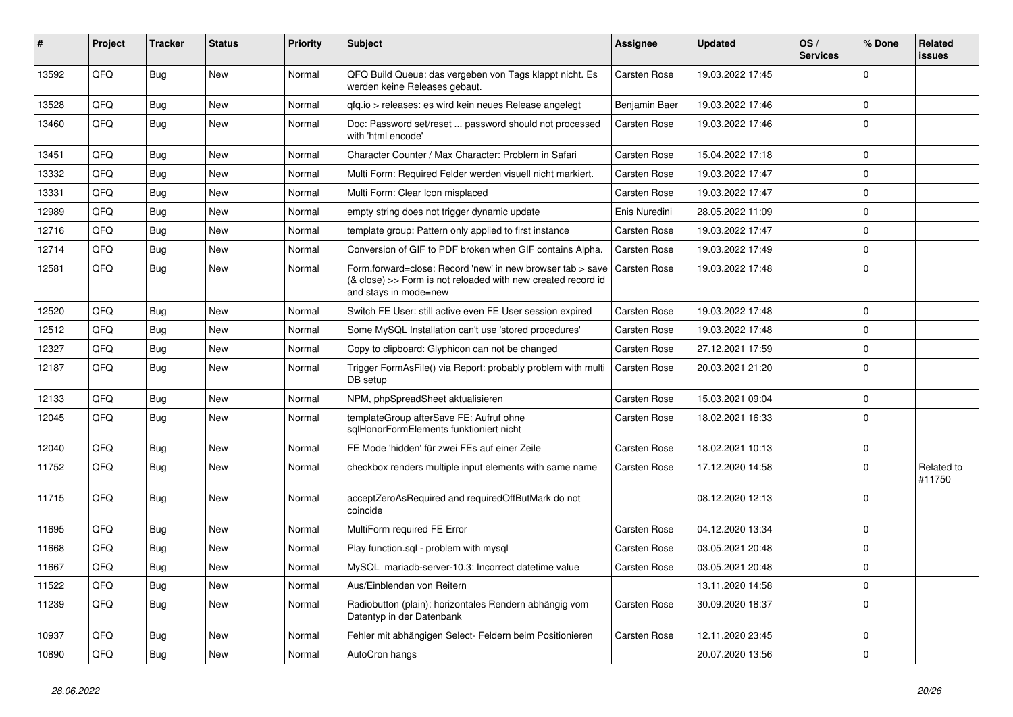| #     | Project | <b>Tracker</b> | <b>Status</b> | <b>Priority</b> | <b>Subject</b>                                                                                                                                      | <b>Assignee</b>     | <b>Updated</b>   | OS/<br><b>Services</b> | % Done      | Related<br>issues    |
|-------|---------|----------------|---------------|-----------------|-----------------------------------------------------------------------------------------------------------------------------------------------------|---------------------|------------------|------------------------|-------------|----------------------|
| 13592 | QFQ     | <b>Bug</b>     | <b>New</b>    | Normal          | QFQ Build Queue: das vergeben von Tags klappt nicht. Es<br>werden keine Releases gebaut.                                                            | <b>Carsten Rose</b> | 19.03.2022 17:45 |                        | $\Omega$    |                      |
| 13528 | QFQ     | <b>Bug</b>     | New           | Normal          | qfq.io > releases: es wird kein neues Release angelegt                                                                                              | Benjamin Baer       | 19.03.2022 17:46 |                        | $\mathbf 0$ |                      |
| 13460 | QFQ     | <b>Bug</b>     | New           | Normal          | Doc: Password set/reset  password should not processed<br>with 'html encode'                                                                        | Carsten Rose        | 19.03.2022 17:46 |                        | $\Omega$    |                      |
| 13451 | QFQ     | <b>Bug</b>     | <b>New</b>    | Normal          | Character Counter / Max Character: Problem in Safari                                                                                                | Carsten Rose        | 15.04.2022 17:18 |                        | $\Omega$    |                      |
| 13332 | QFQ     | <b>Bug</b>     | <b>New</b>    | Normal          | Multi Form: Required Felder werden visuell nicht markiert.                                                                                          | Carsten Rose        | 19.03.2022 17:47 |                        | $\Omega$    |                      |
| 13331 | QFQ     | <b>Bug</b>     | <b>New</b>    | Normal          | Multi Form: Clear Icon misplaced                                                                                                                    | Carsten Rose        | 19.03.2022 17:47 |                        | $\Omega$    |                      |
| 12989 | QFQ     | <b>Bug</b>     | New           | Normal          | empty string does not trigger dynamic update                                                                                                        | Enis Nuredini       | 28.05.2022 11:09 |                        | $\Omega$    |                      |
| 12716 | QFQ     | <b>Bug</b>     | New           | Normal          | template group: Pattern only applied to first instance                                                                                              | <b>Carsten Rose</b> | 19.03.2022 17:47 |                        | l O         |                      |
| 12714 | QFQ     | <b>Bug</b>     | <b>New</b>    | Normal          | Conversion of GIF to PDF broken when GIF contains Alpha.                                                                                            | <b>Carsten Rose</b> | 19.03.2022 17:49 |                        | $\Omega$    |                      |
| 12581 | QFQ     | <b>Bug</b>     | <b>New</b>    | Normal          | Form.forward=close: Record 'new' in new browser tab > save<br>(& close) >> Form is not reloaded with new created record id<br>and stays in mode=new | <b>Carsten Rose</b> | 19.03.2022 17:48 |                        | l O         |                      |
| 12520 | QFQ     | Bug            | <b>New</b>    | Normal          | Switch FE User: still active even FE User session expired                                                                                           | Carsten Rose        | 19.03.2022 17:48 |                        | $\Omega$    |                      |
| 12512 | QFQ     | Bug            | New           | Normal          | Some MySQL Installation can't use 'stored procedures'                                                                                               | Carsten Rose        | 19.03.2022 17:48 |                        | $\Omega$    |                      |
| 12327 | QFQ     | Bug            | New           | Normal          | Copy to clipboard: Glyphicon can not be changed                                                                                                     | <b>Carsten Rose</b> | 27.12.2021 17:59 |                        | $\mathbf 0$ |                      |
| 12187 | QFQ     | Bug            | New           | Normal          | Trigger FormAsFile() via Report: probably problem with multi<br>DB setup                                                                            | <b>Carsten Rose</b> | 20.03.2021 21:20 |                        | $\Omega$    |                      |
| 12133 | QFQ     | <b>Bug</b>     | <b>New</b>    | Normal          | NPM, phpSpreadSheet aktualisieren                                                                                                                   | Carsten Rose        | 15.03.2021 09:04 |                        | $\mathbf 0$ |                      |
| 12045 | QFQ     | Bug            | New           | Normal          | templateGroup afterSave FE: Aufruf ohne<br>sglHonorFormElements funktioniert nicht                                                                  | Carsten Rose        | 18.02.2021 16:33 |                        | $\Omega$    |                      |
| 12040 | QFQ     | <b>Bug</b>     | <b>New</b>    | Normal          | FE Mode 'hidden' für zwei FEs auf einer Zeile                                                                                                       | Carsten Rose        | 18.02.2021 10:13 |                        | $\Omega$    |                      |
| 11752 | QFQ     | <b>Bug</b>     | New           | Normal          | checkbox renders multiple input elements with same name                                                                                             | Carsten Rose        | 17.12.2020 14:58 |                        | $\Omega$    | Related to<br>#11750 |
| 11715 | QFQ     | <b>Bug</b>     | <b>New</b>    | Normal          | acceptZeroAsRequired and requiredOffButMark do not<br>coincide                                                                                      |                     | 08.12.2020 12:13 |                        | $\Omega$    |                      |
| 11695 | QFQ     | <b>Bug</b>     | <b>New</b>    | Normal          | MultiForm required FE Error                                                                                                                         | Carsten Rose        | 04.12.2020 13:34 |                        | l 0         |                      |
| 11668 | QFQ     | Bug            | <b>New</b>    | Normal          | Play function.sql - problem with mysql                                                                                                              | Carsten Rose        | 03.05.2021 20:48 |                        | $\Omega$    |                      |
| 11667 | QFQ     | Bug            | New           | Normal          | MySQL mariadb-server-10.3: Incorrect datetime value                                                                                                 | Carsten Rose        | 03.05.2021 20:48 |                        | l 0         |                      |
| 11522 | QFQ     | Bug            | <b>New</b>    | Normal          | Aus/Einblenden von Reitern                                                                                                                          |                     | 13.11.2020 14:58 |                        | $\Omega$    |                      |
| 11239 | QFQ     | <b>Bug</b>     | New           | Normal          | Radiobutton (plain): horizontales Rendern abhängig vom<br>Datentyp in der Datenbank                                                                 | Carsten Rose        | 30.09.2020 18:37 |                        | l o         |                      |
| 10937 | QFQ     | Bug            | New           | Normal          | Fehler mit abhängigen Select- Feldern beim Positionieren                                                                                            | Carsten Rose        | 12.11.2020 23:45 |                        | $\mathbf 0$ |                      |
| 10890 | QFQ     | Bug            | New           | Normal          | AutoCron hangs                                                                                                                                      |                     | 20.07.2020 13:56 |                        | $\mathbf 0$ |                      |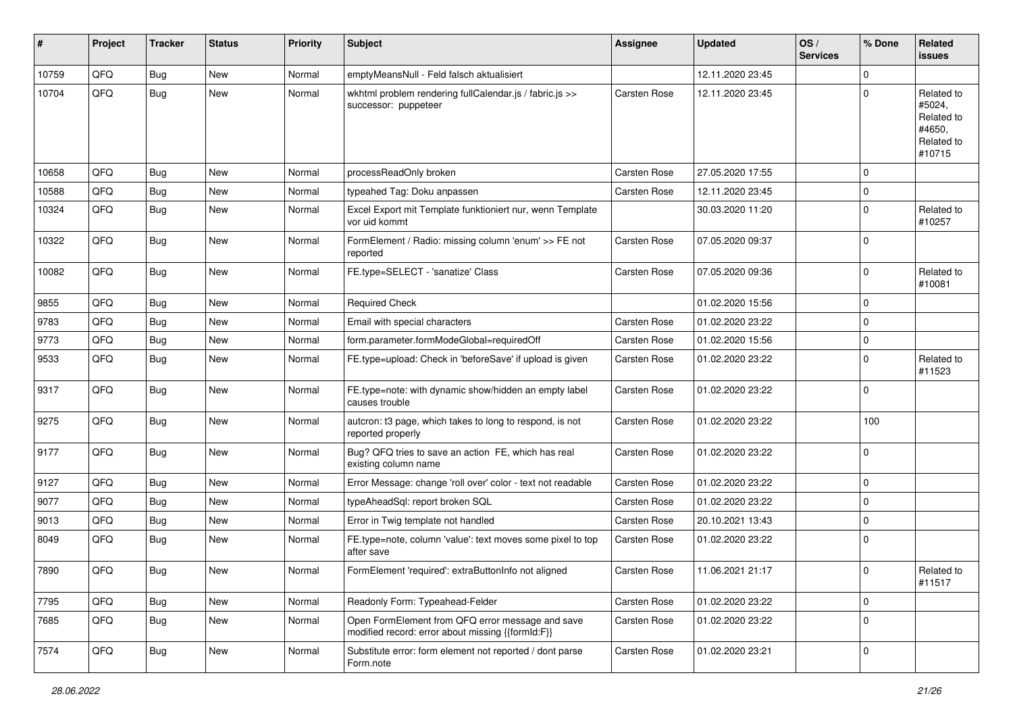| #     | Project | <b>Tracker</b> | <b>Status</b> | <b>Priority</b> | <b>Subject</b>                                                                                        | <b>Assignee</b>     | <b>Updated</b>   | OS/<br><b>Services</b> | % Done      | Related<br><b>issues</b>                                             |
|-------|---------|----------------|---------------|-----------------|-------------------------------------------------------------------------------------------------------|---------------------|------------------|------------------------|-------------|----------------------------------------------------------------------|
| 10759 | QFQ     | <b>Bug</b>     | New           | Normal          | emptyMeansNull - Feld falsch aktualisiert                                                             |                     | 12.11.2020 23:45 |                        | $\Omega$    |                                                                      |
| 10704 | QFQ     | <b>Bug</b>     | New           | Normal          | wkhtml problem rendering fullCalendar.js / fabric.js >><br>successor: puppeteer                       | <b>Carsten Rose</b> | 12.11.2020 23:45 |                        | $\Omega$    | Related to<br>#5024,<br>Related to<br>#4650,<br>Related to<br>#10715 |
| 10658 | QFQ     | <b>Bug</b>     | New           | Normal          | processReadOnly broken                                                                                | <b>Carsten Rose</b> | 27.05.2020 17:55 |                        | $\Omega$    |                                                                      |
| 10588 | QFQ     | <b>Bug</b>     | New           | Normal          | typeahed Tag: Doku anpassen                                                                           | <b>Carsten Rose</b> | 12.11.2020 23:45 |                        | $\mathbf 0$ |                                                                      |
| 10324 | QFQ     | <b>Bug</b>     | New           | Normal          | Excel Export mit Template funktioniert nur, wenn Template<br>vor uid kommt                            |                     | 30.03.2020 11:20 |                        | $\mathbf 0$ | Related to<br>#10257                                                 |
| 10322 | QFQ     | <b>Bug</b>     | New           | Normal          | FormElement / Radio: missing column 'enum' >> FE not<br>reported                                      | <b>Carsten Rose</b> | 07.05.2020 09:37 |                        | $\mathbf 0$ |                                                                      |
| 10082 | QFQ     | Bug            | New           | Normal          | FE.type=SELECT - 'sanatize' Class                                                                     | <b>Carsten Rose</b> | 07.05.2020 09:36 |                        | l 0         | Related to<br>#10081                                                 |
| 9855  | QFQ     | <b>Bug</b>     | New           | Normal          | <b>Required Check</b>                                                                                 |                     | 01.02.2020 15:56 |                        | $\Omega$    |                                                                      |
| 9783  | QFQ     | <b>Bug</b>     | <b>New</b>    | Normal          | Email with special characters                                                                         | <b>Carsten Rose</b> | 01.02.2020 23:22 |                        | $\mathbf 0$ |                                                                      |
| 9773  | QFQ     | <b>Bug</b>     | New           | Normal          | form.parameter.formModeGlobal=requiredOff                                                             | <b>Carsten Rose</b> | 01.02.2020 15:56 |                        | $\mathbf 0$ |                                                                      |
| 9533  | QFQ     | <b>Bug</b>     | New           | Normal          | FE.type=upload: Check in 'beforeSave' if upload is given                                              | Carsten Rose        | 01.02.2020 23:22 |                        | $\Omega$    | Related to<br>#11523                                                 |
| 9317  | QFQ     | Bug            | New           | Normal          | FE.type=note: with dynamic show/hidden an empty label<br>causes trouble                               | <b>Carsten Rose</b> | 01.02.2020 23:22 |                        | $\Omega$    |                                                                      |
| 9275  | QFQ     | <b>Bug</b>     | New           | Normal          | autcron: t3 page, which takes to long to respond, is not<br>reported properly                         | <b>Carsten Rose</b> | 01.02.2020 23:22 |                        | 100         |                                                                      |
| 9177  | QFQ     | Bug            | New           | Normal          | Bug? QFQ tries to save an action FE, which has real<br>existing column name                           | <b>Carsten Rose</b> | 01.02.2020 23:22 |                        | 0           |                                                                      |
| 9127  | QFQ     | <b>Bug</b>     | New           | Normal          | Error Message: change 'roll over' color - text not readable                                           | <b>Carsten Rose</b> | 01.02.2020 23:22 |                        | $\mathbf 0$ |                                                                      |
| 9077  | QFQ     | <b>Bug</b>     | New           | Normal          | typeAheadSql: report broken SQL                                                                       | <b>Carsten Rose</b> | 01.02.2020 23:22 |                        | $\mathbf 0$ |                                                                      |
| 9013  | QFQ     | <b>Bug</b>     | New           | Normal          | Error in Twig template not handled                                                                    | <b>Carsten Rose</b> | 20.10.2021 13:43 |                        | $\mathbf 0$ |                                                                      |
| 8049  | QFQ     | <b>Bug</b>     | New           | Normal          | FE.type=note, column 'value': text moves some pixel to top<br>after save                              | <b>Carsten Rose</b> | 01.02.2020 23:22 |                        | l 0         |                                                                      |
| 7890  | QFQ     | Bug            | New           | Normal          | FormElement 'required': extraButtonInfo not aligned                                                   | Carsten Rose        | 11.06.2021 21:17 |                        | l O         | Related to<br>#11517                                                 |
| 7795  | QFQ     | Bug            | New           | Normal          | Readonly Form: Typeahead-Felder                                                                       | Carsten Rose        | 01.02.2020 23:22 |                        | $\mathbf 0$ |                                                                      |
| 7685  | QFQ     | Bug            | New           | Normal          | Open FormElement from QFQ error message and save<br>modified record: error about missing {{formId:F}} | Carsten Rose        | 01.02.2020 23:22 |                        | $\Omega$    |                                                                      |
| 7574  | QFQ     | Bug            | New           | Normal          | Substitute error: form element not reported / dont parse<br>Form.note                                 | Carsten Rose        | 01.02.2020 23:21 |                        | 0           |                                                                      |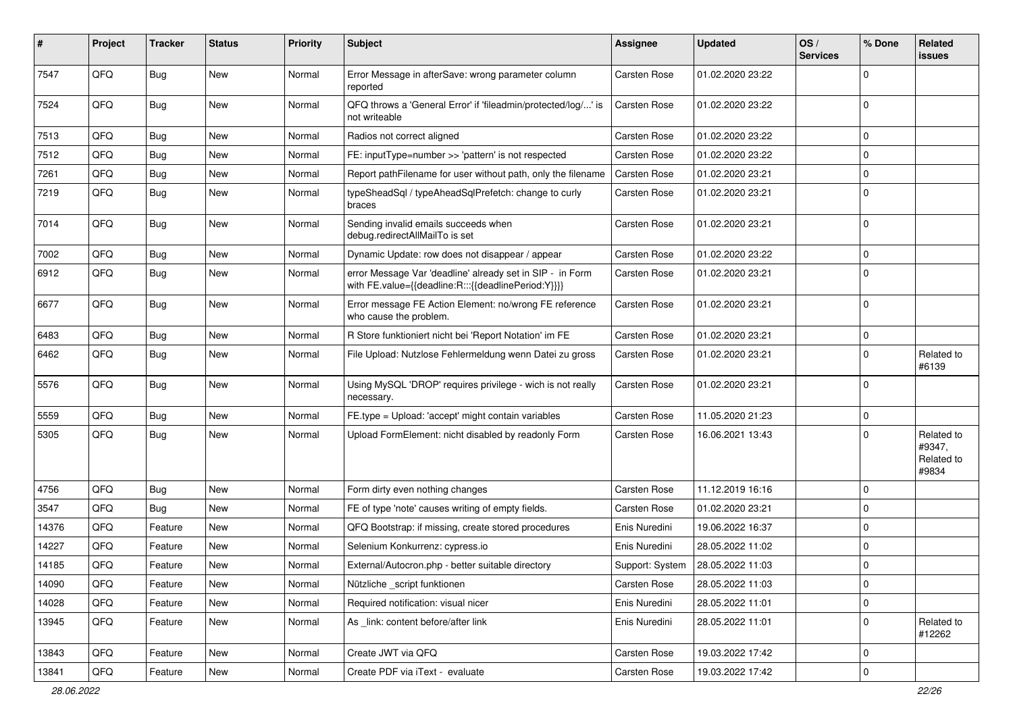| #     | Project | <b>Tracker</b> | <b>Status</b> | <b>Priority</b> | Subject                                                                                                          | Assignee            | <b>Updated</b>   | OS/<br><b>Services</b> | % Done      | Related<br>issues                           |
|-------|---------|----------------|---------------|-----------------|------------------------------------------------------------------------------------------------------------------|---------------------|------------------|------------------------|-------------|---------------------------------------------|
| 7547  | QFQ     | <b>Bug</b>     | <b>New</b>    | Normal          | Error Message in afterSave: wrong parameter column<br>reported                                                   | <b>Carsten Rose</b> | 01.02.2020 23:22 |                        | $\Omega$    |                                             |
| 7524  | QFQ     | Bug            | New           | Normal          | QFQ throws a 'General Error' if 'fileadmin/protected/log/' is<br>not writeable                                   | Carsten Rose        | 01.02.2020 23:22 |                        | $\Omega$    |                                             |
| 7513  | QFQ     | Bug            | New           | Normal          | Radios not correct aligned                                                                                       | <b>Carsten Rose</b> | 01.02.2020 23:22 |                        | $\Omega$    |                                             |
| 7512  | QFQ     | <b>Bug</b>     | New           | Normal          | FE: inputType=number >> 'pattern' is not respected                                                               | <b>Carsten Rose</b> | 01.02.2020 23:22 |                        | $\Omega$    |                                             |
| 7261  | QFQ     | <b>Bug</b>     | New           | Normal          | Report pathFilename for user without path, only the filename                                                     | <b>Carsten Rose</b> | 01.02.2020 23:21 |                        | $\Omega$    |                                             |
| 7219  | QFQ     | <b>Bug</b>     | New           | Normal          | typeSheadSql / typeAheadSqlPrefetch: change to curly<br>braces                                                   | Carsten Rose        | 01.02.2020 23:21 |                        | $\Omega$    |                                             |
| 7014  | QFQ     | Bug            | New           | Normal          | Sending invalid emails succeeds when<br>debug.redirectAllMailTo is set                                           | Carsten Rose        | 01.02.2020 23:21 |                        | l 0         |                                             |
| 7002  | QFQ     | <b>Bug</b>     | New           | Normal          | Dynamic Update: row does not disappear / appear                                                                  | <b>Carsten Rose</b> | 01.02.2020 23:22 |                        | $\mathbf 0$ |                                             |
| 6912  | QFQ     | <b>Bug</b>     | New           | Normal          | error Message Var 'deadline' already set in SIP - in Form<br>with FE.value={{deadline:R:::{{deadlinePeriod:Y}}}} | Carsten Rose        | 01.02.2020 23:21 |                        | $\Omega$    |                                             |
| 6677  | QFQ     | <b>Bug</b>     | <b>New</b>    | Normal          | Error message FE Action Element: no/wrong FE reference<br>who cause the problem.                                 | Carsten Rose        | 01.02.2020 23:21 |                        | $\Omega$    |                                             |
| 6483  | QFQ     | <b>Bug</b>     | <b>New</b>    | Normal          | R Store funktioniert nicht bei 'Report Notation' im FE                                                           | Carsten Rose        | 01.02.2020 23:21 |                        | 0           |                                             |
| 6462  | QFQ     | <b>Bug</b>     | New           | Normal          | File Upload: Nutzlose Fehlermeldung wenn Datei zu gross                                                          | Carsten Rose        | 01.02.2020 23:21 |                        | $\Omega$    | Related to<br>#6139                         |
| 5576  | QFQ     | <b>Bug</b>     | <b>New</b>    | Normal          | Using MySQL 'DROP' requires privilege - wich is not really<br>necessary.                                         | Carsten Rose        | 01.02.2020 23:21 |                        | $\Omega$    |                                             |
| 5559  | QFQ     | <b>Bug</b>     | New           | Normal          | FE.type = Upload: 'accept' might contain variables                                                               | Carsten Rose        | 11.05.2020 21:23 |                        | $\Omega$    |                                             |
| 5305  | QFQ     | Bug            | New           | Normal          | Upload FormElement: nicht disabled by readonly Form                                                              | Carsten Rose        | 16.06.2021 13:43 |                        | $\Omega$    | Related to<br>#9347,<br>Related to<br>#9834 |
| 4756  | QFQ     | <b>Bug</b>     | New           | Normal          | Form dirty even nothing changes                                                                                  | Carsten Rose        | 11.12.2019 16:16 |                        | $\Omega$    |                                             |
| 3547  | QFQ     | Bug            | <b>New</b>    | Normal          | FE of type 'note' causes writing of empty fields.                                                                | <b>Carsten Rose</b> | 01.02.2020 23:21 |                        | $\mathbf 0$ |                                             |
| 14376 | QFQ     | Feature        | New           | Normal          | QFQ Bootstrap: if missing, create stored procedures                                                              | Enis Nuredini       | 19.06.2022 16:37 |                        | 0           |                                             |
| 14227 | QFQ     | Feature        | New           | Normal          | Selenium Konkurrenz: cypress.io                                                                                  | Enis Nuredini       | 28.05.2022 11:02 |                        | $\Omega$    |                                             |
| 14185 | QFQ     | Feature        | New           | Normal          | External/Autocron.php - better suitable directory                                                                | Support: System     | 28.05.2022 11:03 |                        | 0           |                                             |
| 14090 | QFQ     | Feature        | New           | Normal          | Nützliche _script funktionen                                                                                     | Carsten Rose        | 28.05.2022 11:03 |                        | 0           |                                             |
| 14028 | QFQ     | Feature        | New           | Normal          | Required notification: visual nicer                                                                              | Enis Nuredini       | 28.05.2022 11:01 |                        | $\mathbf 0$ |                                             |
| 13945 | QFQ     | Feature        | New           | Normal          | As _link: content before/after link                                                                              | Enis Nuredini       | 28.05.2022 11:01 |                        | $\mathbf 0$ | Related to<br>#12262                        |
| 13843 | QFQ     | Feature        | New           | Normal          | Create JWT via QFQ                                                                                               | Carsten Rose        | 19.03.2022 17:42 |                        | 0           |                                             |
| 13841 | QFQ     | Feature        | New           | Normal          | Create PDF via iText - evaluate                                                                                  | Carsten Rose        | 19.03.2022 17:42 |                        | 0           |                                             |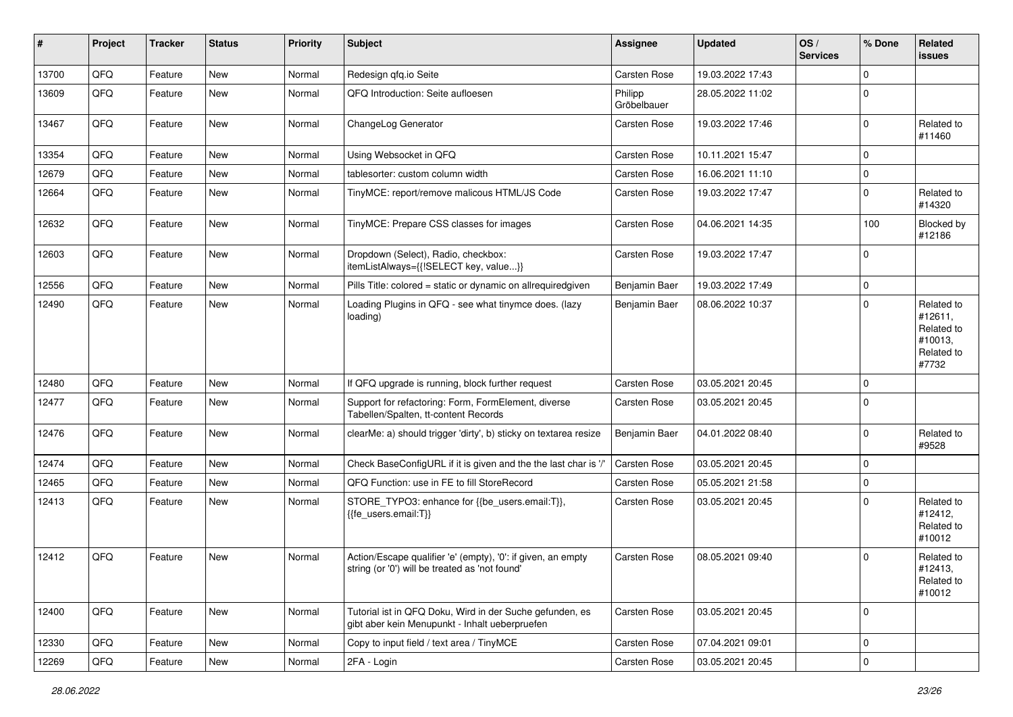| #     | Project | <b>Tracker</b> | <b>Status</b> | <b>Priority</b> | Subject                                                                                                        | <b>Assignee</b>        | <b>Updated</b>   | OS/<br><b>Services</b> | % Done      | Related<br><b>issues</b>                                              |
|-------|---------|----------------|---------------|-----------------|----------------------------------------------------------------------------------------------------------------|------------------------|------------------|------------------------|-------------|-----------------------------------------------------------------------|
| 13700 | QFQ     | Feature        | New           | Normal          | Redesign qfq.io Seite                                                                                          | Carsten Rose           | 19.03.2022 17:43 |                        | $\Omega$    |                                                                       |
| 13609 | QFQ     | Feature        | <b>New</b>    | Normal          | QFQ Introduction: Seite aufloesen                                                                              | Philipp<br>Gröbelbauer | 28.05.2022 11:02 |                        | $\Omega$    |                                                                       |
| 13467 | QFQ     | Feature        | New           | Normal          | ChangeLog Generator                                                                                            | <b>Carsten Rose</b>    | 19.03.2022 17:46 |                        | $\Omega$    | Related to<br>#11460                                                  |
| 13354 | QFQ     | Feature        | <b>New</b>    | Normal          | Using Websocket in QFQ                                                                                         | <b>Carsten Rose</b>    | 10.11.2021 15:47 |                        | $\Omega$    |                                                                       |
| 12679 | QFQ     | Feature        | New           | Normal          | tablesorter: custom column width                                                                               | <b>Carsten Rose</b>    | 16.06.2021 11:10 |                        | $\mathbf 0$ |                                                                       |
| 12664 | QFQ     | Feature        | <b>New</b>    | Normal          | TinyMCE: report/remove malicous HTML/JS Code                                                                   | <b>Carsten Rose</b>    | 19.03.2022 17:47 |                        | $\Omega$    | Related to<br>#14320                                                  |
| 12632 | QFQ     | Feature        | New           | Normal          | TinyMCE: Prepare CSS classes for images                                                                        | <b>Carsten Rose</b>    | 04.06.2021 14:35 |                        | 100         | Blocked by<br>#12186                                                  |
| 12603 | QFQ     | Feature        | <b>New</b>    | Normal          | Dropdown (Select), Radio, checkbox:<br>itemListAlways={{!SELECT key, value}}                                   | <b>Carsten Rose</b>    | 19.03.2022 17:47 |                        | $\Omega$    |                                                                       |
| 12556 | QFQ     | Feature        | <b>New</b>    | Normal          | Pills Title: colored = static or dynamic on allrequiredgiven                                                   | Benjamin Baer          | 19.03.2022 17:49 |                        | $\mathbf 0$ |                                                                       |
| 12490 | QFQ     | Feature        | <b>New</b>    | Normal          | Loading Plugins in QFQ - see what tinymce does. (lazy<br>loading)                                              | Benjamin Baer          | 08.06.2022 10:37 |                        | $\Omega$    | Related to<br>#12611,<br>Related to<br>#10013,<br>Related to<br>#7732 |
| 12480 | QFQ     | Feature        | <b>New</b>    | Normal          | If QFQ upgrade is running, block further request                                                               | <b>Carsten Rose</b>    | 03.05.2021 20:45 |                        | $\mathbf 0$ |                                                                       |
| 12477 | QFQ     | Feature        | <b>New</b>    | Normal          | Support for refactoring: Form, FormElement, diverse<br>Tabellen/Spalten, tt-content Records                    | <b>Carsten Rose</b>    | 03.05.2021 20:45 |                        | $\Omega$    |                                                                       |
| 12476 | QFQ     | Feature        | New           | Normal          | clearMe: a) should trigger 'dirty', b) sticky on textarea resize                                               | Benjamin Baer          | 04.01.2022 08:40 |                        | $\Omega$    | Related to<br>#9528                                                   |
| 12474 | QFQ     | Feature        | <b>New</b>    | Normal          | Check BaseConfigURL if it is given and the the last char is '/'                                                | <b>Carsten Rose</b>    | 03.05.2021 20:45 |                        | $\mathbf 0$ |                                                                       |
| 12465 | QFQ     | Feature        | <b>New</b>    | Normal          | QFQ Function: use in FE to fill StoreRecord                                                                    | <b>Carsten Rose</b>    | 05.05.2021 21:58 |                        | $\Omega$    |                                                                       |
| 12413 | QFQ     | Feature        | <b>New</b>    | Normal          | STORE_TYPO3: enhance for {{be_users.email:T}},<br>{{fe users.email:T}}                                         | <b>Carsten Rose</b>    | 03.05.2021 20:45 |                        | $\Omega$    | Related to<br>#12412,<br>Related to<br>#10012                         |
| 12412 | QFQ     | Feature        | <b>New</b>    | Normal          | Action/Escape qualifier 'e' (empty), '0': if given, an empty<br>string (or '0') will be treated as 'not found' | Carsten Rose           | 08.05.2021 09:40 |                        | $\Omega$    | Related to<br>#12413,<br>Related to<br>#10012                         |
| 12400 | QFQ     | Feature        | New           | Normal          | Tutorial ist in QFQ Doku, Wird in der Suche gefunden, es<br>gibt aber kein Menupunkt - Inhalt ueberpruefen     | Carsten Rose           | 03.05.2021 20:45 |                        | $\mathbf 0$ |                                                                       |
| 12330 | QFQ     | Feature        | New           | Normal          | Copy to input field / text area / TinyMCE                                                                      | Carsten Rose           | 07.04.2021 09:01 |                        | 0           |                                                                       |
| 12269 | QFQ     | Feature        | New           | Normal          | 2FA - Login                                                                                                    | Carsten Rose           | 03.05.2021 20:45 |                        | $\mathbf 0$ |                                                                       |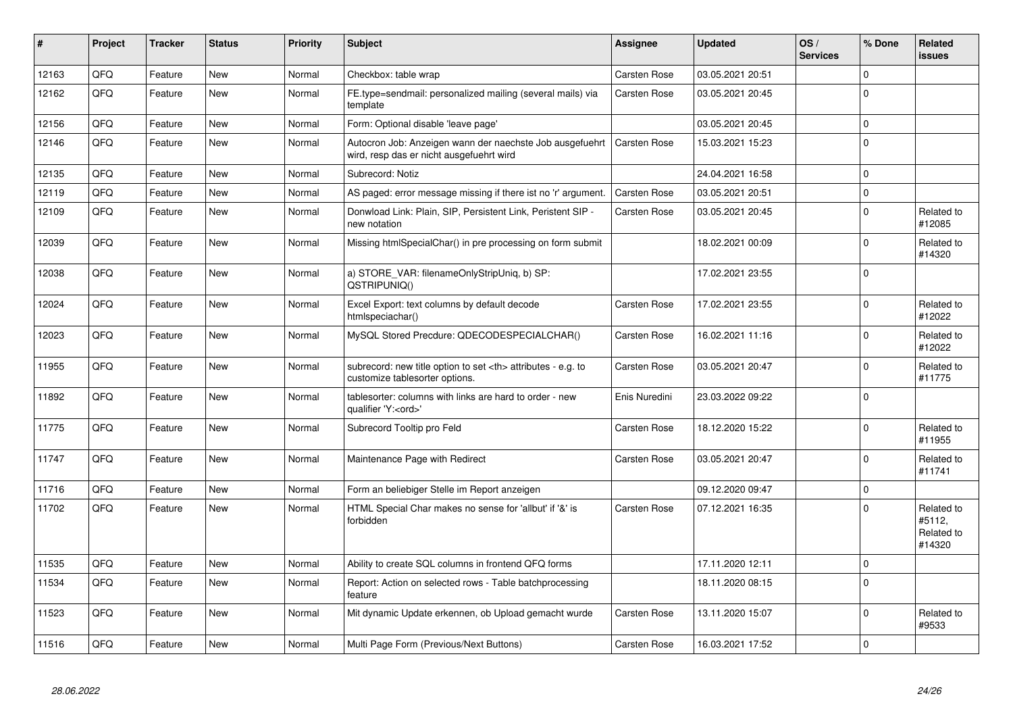| #     | Project | <b>Tracker</b> | <b>Status</b> | <b>Priority</b> | <b>Subject</b>                                                                                       | Assignee                                               | <b>Updated</b>   | OS/<br><b>Services</b> | % Done      | Related<br><b>issues</b>                     |                      |
|-------|---------|----------------|---------------|-----------------|------------------------------------------------------------------------------------------------------|--------------------------------------------------------|------------------|------------------------|-------------|----------------------------------------------|----------------------|
| 12163 | QFQ     | Feature        | <b>New</b>    | Normal          | Checkbox: table wrap                                                                                 | <b>Carsten Rose</b>                                    | 03.05.2021 20:51 |                        | $\Omega$    |                                              |                      |
| 12162 | QFQ     | Feature        | <b>New</b>    | Normal          | FE.type=sendmail: personalized mailing (several mails) via<br>template                               | <b>Carsten Rose</b>                                    | 03.05.2021 20:45 |                        | $\Omega$    |                                              |                      |
| 12156 | QFQ     | Feature        | <b>New</b>    | Normal          | Form: Optional disable 'leave page'                                                                  |                                                        | 03.05.2021 20:45 |                        | $\Omega$    |                                              |                      |
| 12146 | QFQ     | Feature        | <b>New</b>    | Normal          | Autocron Job: Anzeigen wann der naechste Job ausgefuehrt<br>wird, resp das er nicht ausgefuehrt wird | <b>Carsten Rose</b>                                    | 15.03.2021 15:23 |                        | $\Omega$    |                                              |                      |
| 12135 | QFQ     | Feature        | <b>New</b>    | Normal          | Subrecord: Notiz                                                                                     |                                                        | 24.04.2021 16:58 |                        | $\Omega$    |                                              |                      |
| 12119 | QFQ     | Feature        | <b>New</b>    | Normal          | AS paged: error message missing if there ist no 'r' argument.                                        | <b>Carsten Rose</b>                                    | 03.05.2021 20:51 |                        | $\mathbf 0$ |                                              |                      |
| 12109 | QFQ     | Feature        | <b>New</b>    | Normal          | Donwload Link: Plain, SIP, Persistent Link, Peristent SIP -<br>new notation                          | <b>Carsten Rose</b>                                    | 03.05.2021 20:45 |                        | $\Omega$    | Related to<br>#12085                         |                      |
| 12039 | QFQ     | Feature        | <b>New</b>    | Normal          | Missing htmlSpecialChar() in pre processing on form submit                                           |                                                        | 18.02.2021 00:09 |                        | $\Omega$    | Related to<br>#14320                         |                      |
| 12038 | QFQ     | Feature        | <b>New</b>    | Normal          | a) STORE_VAR: filenameOnlyStripUniq, b) SP:<br>QSTRIPUNIQ()                                          |                                                        | 17.02.2021 23:55 |                        | $\Omega$    |                                              |                      |
| 12024 | QFQ     | Feature        | <b>New</b>    | Normal          | Excel Export: text columns by default decode<br>htmlspeciachar()                                     | Carsten Rose                                           | 17.02.2021 23:55 |                        | $\Omega$    | Related to<br>#12022                         |                      |
| 12023 | QFQ     | Feature        | <b>New</b>    | Normal          | MySQL Stored Precdure: QDECODESPECIALCHAR()                                                          | Carsten Rose                                           | 16.02.2021 11:16 |                        | $\Omega$    | Related to<br>#12022                         |                      |
| 11955 | QFQ     | Feature        | New           | Normal          | subrecord: new title option to set <th> attributes - e.g. to<br/>customize tablesorter options.</th> | attributes - e.g. to<br>customize tablesorter options. | Carsten Rose     | 03.05.2021 20:47       |             | $\Omega$                                     | Related to<br>#11775 |
| 11892 | QFQ     | Feature        | <b>New</b>    | Normal          | tablesorter: columns with links are hard to order - new<br>qualifier 'Y: <ord>'</ord>                | Enis Nuredini                                          | 23.03.2022 09:22 |                        | $\Omega$    |                                              |                      |
| 11775 | QFQ     | Feature        | New           | Normal          | Subrecord Tooltip pro Feld                                                                           | Carsten Rose                                           | 18.12.2020 15:22 |                        | $\Omega$    | Related to<br>#11955                         |                      |
| 11747 | QFQ     | Feature        | <b>New</b>    | Normal          | Maintenance Page with Redirect                                                                       | <b>Carsten Rose</b>                                    | 03.05.2021 20:47 |                        | $\Omega$    | Related to<br>#11741                         |                      |
| 11716 | QFQ     | Feature        | <b>New</b>    | Normal          | Form an beliebiger Stelle im Report anzeigen                                                         |                                                        | 09.12.2020 09:47 |                        | $\Omega$    |                                              |                      |
| 11702 | QFQ     | Feature        | <b>New</b>    | Normal          | HTML Special Char makes no sense for 'allbut' if '&' is<br>forbidden                                 | Carsten Rose                                           | 07.12.2021 16:35 |                        | $\Omega$    | Related to<br>#5112,<br>Related to<br>#14320 |                      |
| 11535 | QFQ     | Feature        | <b>New</b>    | Normal          | Ability to create SQL columns in frontend QFQ forms                                                  |                                                        | 17.11.2020 12:11 |                        | $\Omega$    |                                              |                      |
| 11534 | QFQ     | Feature        | <b>New</b>    | Normal          | Report: Action on selected rows - Table batchprocessing<br>feature                                   |                                                        | 18.11.2020 08:15 |                        | $\Omega$    |                                              |                      |
| 11523 | QFQ     | Feature        | <b>New</b>    | Normal          | Mit dynamic Update erkennen, ob Upload gemacht wurde                                                 | <b>Carsten Rose</b>                                    | 13.11.2020 15:07 |                        | $\Omega$    | Related to<br>#9533                          |                      |
| 11516 | QFQ     | Feature        | <b>New</b>    | Normal          | Multi Page Form (Previous/Next Buttons)                                                              | <b>Carsten Rose</b>                                    | 16.03.2021 17:52 |                        | $\mathbf 0$ |                                              |                      |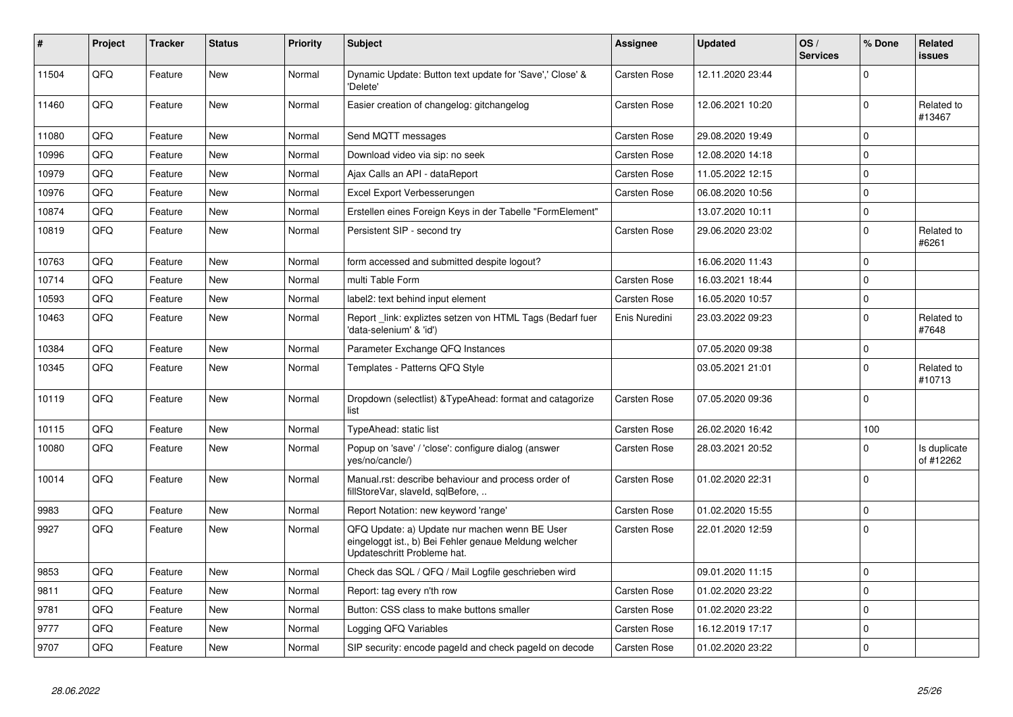| #     | <b>Project</b> | <b>Tracker</b> | <b>Status</b> | <b>Priority</b> | <b>Subject</b>                                                                                                                        | Assignee            | <b>Updated</b>   | OS/<br><b>Services</b> | % Done      | Related<br>issues         |
|-------|----------------|----------------|---------------|-----------------|---------------------------------------------------------------------------------------------------------------------------------------|---------------------|------------------|------------------------|-------------|---------------------------|
| 11504 | QFQ            | Feature        | <b>New</b>    | Normal          | Dynamic Update: Button text update for 'Save',' Close' &<br>'Delete'                                                                  | <b>Carsten Rose</b> | 12.11.2020 23:44 |                        | $\Omega$    |                           |
| 11460 | QFQ            | Feature        | <b>New</b>    | Normal          | Easier creation of changelog: gitchangelog                                                                                            | <b>Carsten Rose</b> | 12.06.2021 10:20 |                        | $\Omega$    | Related to<br>#13467      |
| 11080 | QFQ            | Feature        | <b>New</b>    | Normal          | Send MQTT messages                                                                                                                    | <b>Carsten Rose</b> | 29.08.2020 19:49 |                        | $\Omega$    |                           |
| 10996 | QFQ            | Feature        | <b>New</b>    | Normal          | Download video via sip: no seek                                                                                                       | Carsten Rose        | 12.08.2020 14:18 |                        | $\Omega$    |                           |
| 10979 | QFQ            | Feature        | <b>New</b>    | Normal          | Ajax Calls an API - dataReport                                                                                                        | <b>Carsten Rose</b> | 11.05.2022 12:15 |                        | $\Omega$    |                           |
| 10976 | QFQ            | Feature        | <b>New</b>    | Normal          | Excel Export Verbesserungen                                                                                                           | <b>Carsten Rose</b> | 06.08.2020 10:56 |                        | $\Omega$    |                           |
| 10874 | QFQ            | Feature        | <b>New</b>    | Normal          | Erstellen eines Foreign Keys in der Tabelle "FormElement"                                                                             |                     | 13.07.2020 10:11 |                        | $\Omega$    |                           |
| 10819 | QFQ            | Feature        | <b>New</b>    | Normal          | Persistent SIP - second try                                                                                                           | <b>Carsten Rose</b> | 29.06.2020 23:02 |                        | $\Omega$    | Related to<br>#6261       |
| 10763 | QFQ            | Feature        | <b>New</b>    | Normal          | form accessed and submitted despite logout?                                                                                           |                     | 16.06.2020 11:43 |                        | $\Omega$    |                           |
| 10714 | QFQ            | Feature        | <b>New</b>    | Normal          | multi Table Form                                                                                                                      | <b>Carsten Rose</b> | 16.03.2021 18:44 |                        | $\Omega$    |                           |
| 10593 | QFQ            | Feature        | <b>New</b>    | Normal          | label2: text behind input element                                                                                                     | <b>Carsten Rose</b> | 16.05.2020 10:57 |                        | $\Omega$    |                           |
| 10463 | QFQ            | Feature        | <b>New</b>    | Normal          | Report _link: expliztes setzen von HTML Tags (Bedarf fuer<br>'data-selenium' & 'id')                                                  | Enis Nuredini       | 23.03.2022 09:23 |                        | $\Omega$    | Related to<br>#7648       |
| 10384 | QFQ            | Feature        | <b>New</b>    | Normal          | Parameter Exchange QFQ Instances                                                                                                      |                     | 07.05.2020 09:38 |                        | $\Omega$    |                           |
| 10345 | QFQ            | Feature        | <b>New</b>    | Normal          | Templates - Patterns QFQ Style                                                                                                        |                     | 03.05.2021 21:01 |                        | $\Omega$    | Related to<br>#10713      |
| 10119 | QFQ            | Feature        | <b>New</b>    | Normal          | Dropdown (selectlist) & Type Ahead: format and catagorize<br>list                                                                     | <b>Carsten Rose</b> | 07.05.2020 09:36 |                        | $\Omega$    |                           |
| 10115 | QFQ            | Feature        | <b>New</b>    | Normal          | TypeAhead: static list                                                                                                                | <b>Carsten Rose</b> | 26.02.2020 16:42 |                        | 100         |                           |
| 10080 | QFQ            | Feature        | <b>New</b>    | Normal          | Popup on 'save' / 'close': configure dialog (answer<br>yes/no/cancle/)                                                                | <b>Carsten Rose</b> | 28.03.2021 20:52 |                        | $\Omega$    | Is duplicate<br>of #12262 |
| 10014 | QFQ            | Feature        | <b>New</b>    | Normal          | Manual.rst: describe behaviour and process order of<br>fillStoreVar, slaveId, sqlBefore,                                              | Carsten Rose        | 01.02.2020 22:31 |                        | $\Omega$    |                           |
| 9983  | QFQ            | Feature        | <b>New</b>    | Normal          | Report Notation: new keyword 'range'                                                                                                  | <b>Carsten Rose</b> | 01.02.2020 15:55 |                        | $\Omega$    |                           |
| 9927  | QFQ            | Feature        | <b>New</b>    | Normal          | QFQ Update: a) Update nur machen wenn BE User<br>eingeloggt ist., b) Bei Fehler genaue Meldung welcher<br>Updateschritt Probleme hat. | <b>Carsten Rose</b> | 22.01.2020 12:59 |                        | $\mathbf 0$ |                           |
| 9853  | QFQ            | Feature        | <b>New</b>    | Normal          | Check das SQL / QFQ / Mail Logfile geschrieben wird                                                                                   |                     | 09.01.2020 11:15 |                        | $\Omega$    |                           |
| 9811  | QFQ            | Feature        | <b>New</b>    | Normal          | Report: tag every n'th row                                                                                                            | <b>Carsten Rose</b> | 01.02.2020 23:22 |                        | $\Omega$    |                           |
| 9781  | QFQ            | Feature        | <b>New</b>    | Normal          | Button: CSS class to make buttons smaller                                                                                             | Carsten Rose        | 01.02.2020 23:22 |                        | $\mathbf 0$ |                           |
| 9777  | QFQ            | Feature        | <b>New</b>    | Normal          | Logging QFQ Variables                                                                                                                 | <b>Carsten Rose</b> | 16.12.2019 17:17 |                        | $\mathbf 0$ |                           |
| 9707  | QFQ            | Feature        | New           | Normal          | SIP security: encode pageld and check pageld on decode                                                                                | <b>Carsten Rose</b> | 01.02.2020 23:22 |                        | 0           |                           |